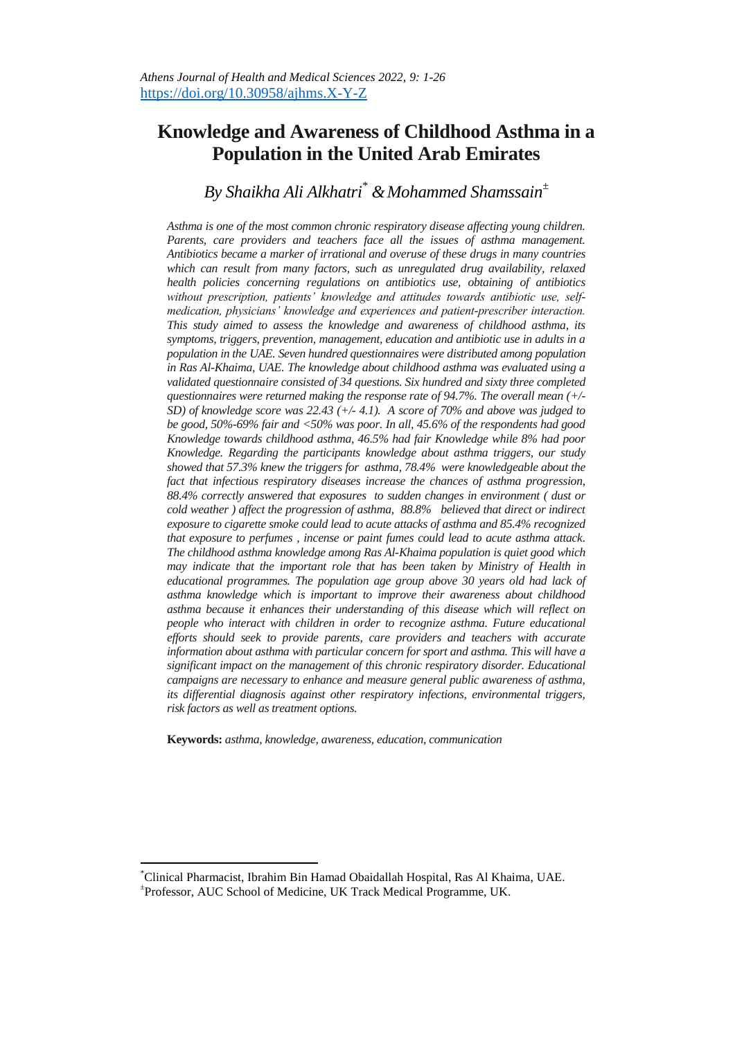# **Knowledge and Awareness of Childhood Asthma in a Population in the United Arab Emirates**

# *By Shaikha Ali Alkhatri\* &Mohammed Shamssain<sup>±</sup>*

*Asthma is one of the most common chronic respiratory disease affecting young children.*  Parents, care providers and teachers face all the issues of asthma management. *Antibiotics became a marker of irrational and overuse of these drugs in many countries*  which can result from many factors, such as unregulated drug availability, relaxed *health policies concerning regulations on antibiotics use, obtaining of antibiotics without prescription, patients' knowledge and attitudes towards antibiotic use, selfmedication, physicians' knowledge and experiences and patient-prescriber interaction. This study aimed to assess the knowledge and awareness of childhood asthma, its symptoms, triggers, prevention, management, education and antibiotic use in adults in a population in the UAE. Seven hundred questionnaires were distributed among population in Ras Al-Khaima, UAE. The knowledge about childhood asthma was evaluated using a validated questionnaire consisted of 34 questions. Six hundred and sixty three completed questionnaires were returned making the response rate of 94.7%. The overall mean (+/- SD) of knowledge score was 22.43 (+/- 4.1). A score of 70% and above was judged to be good, 50%-69% fair and <50% was poor. In all, 45.6% of the respondents had good Knowledge towards childhood asthma, 46.5% had fair Knowledge while 8% had poor Knowledge. Regarding the participants knowledge about asthma triggers, our study showed that 57.3% knew the triggers for asthma, 78.4% were knowledgeable about the fact that infectious respiratory diseases increase the chances of asthma progression, 88.4% correctly answered that exposures to sudden changes in environment ( dust or cold weather ) affect the progression of asthma, 88.8% believed that direct or indirect exposure to cigarette smoke could lead to acute attacks of asthma and 85.4% recognized that exposure to perfumes , incense or paint fumes could lead to acute asthma attack. The childhood asthma knowledge among Ras Al-Khaima population is quiet good which may indicate that the important role that has been taken by Ministry of Health in educational programmes. The population age group above 30 years old had lack of asthma knowledge which is important to improve their awareness about childhood asthma because it enhances their understanding of this disease which will reflect on people who interact with children in order to recognize asthma. Future educational efforts should seek to provide parents, care providers and teachers with accurate information about asthma with particular concern for sport and asthma. This will have a significant impact on the management of this chronic respiratory disorder. Educational campaigns are necessary to enhance and measure general public awareness of asthma, its differential diagnosis against other respiratory infections, environmental triggers, risk factors as well as treatment options.*

**Keywords:** *asthma, knowledge, awareness, education, communication*

l

<sup>\*</sup>Clinical Pharmacist, Ibrahim Bin Hamad Obaidallah Hospital, Ras Al Khaima, UAE. ± Professor, AUC School of Medicine, UK Track Medical Programme, UK.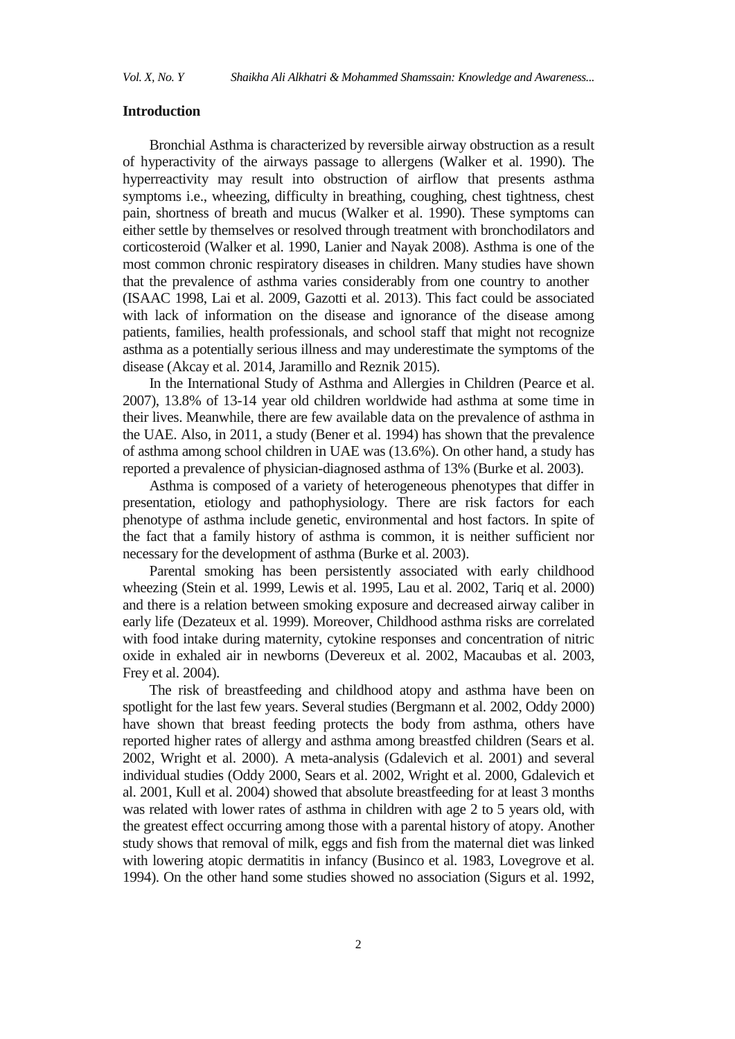## **Introduction**

Bronchial Asthma is characterized by reversible airway obstruction as a result of hyperactivity of the airways passage to allergens (Walker et al. 1990). The hyperreactivity may result into obstruction of airflow that presents asthma symptoms i.e., wheezing, difficulty in breathing, coughing, chest tightness, chest pain, shortness of breath and mucus (Walker et al. 1990). These symptoms can either settle by themselves or resolved through treatment with bronchodilators and corticosteroid (Walker et al. 1990, Lanier and Nayak 2008). Asthma is one of the most common chronic respiratory diseases in children. Many studies have shown that the prevalence of asthma varies considerably from one country to another (ISAAC 1998, Lai et al. 2009, Gazotti et al. 2013). This fact could be associated with lack of information on the disease and ignorance of the disease among patients, families, health professionals, and school staff that might not recognize asthma as a potentially serious illness and may underestimate the symptoms of the disease (Akcay et al. 2014, Jaramillo and Reznik 2015).

In the International Study of Asthma and Allergies in Children (Pearce et al. 2007), 13.8% of 13-14 year old children worldwide had asthma at some time in their lives. Meanwhile, there are few available data on the prevalence of asthma in the UAE. Also, in 2011, a study (Bener et al. 1994) has shown that the prevalence of asthma among school children in UAE was (13.6%). On other hand, a study has reported a prevalence of physician-diagnosed asthma of 13% (Burke et al. 2003).

Asthma is composed of a variety of heterogeneous phenotypes that differ in presentation, etiology and pathophysiology. There are risk factors for each phenotype of asthma include genetic, environmental and host factors. In spite of the fact that a family history of asthma is common, it is neither sufficient nor necessary for the development of asthma (Burke et al. 2003).

Parental smoking has been persistently associated with early childhood wheezing (Stein et al. 1999, Lewis et al. 1995, Lau et al. 2002, Tariq et al. 2000) and there is a relation between smoking exposure and decreased airway caliber in early life (Dezateux et al. 1999). Moreover, Childhood asthma risks are correlated with food intake during maternity, cytokine responses and concentration of nitric oxide in exhaled air in newborns (Devereux et al. 2002, Macaubas et al. 2003, Frey et al. 2004).

The risk of breastfeeding and childhood atopy and asthma have been on spotlight for the last few years. Several studies (Bergmann et al. 2002, Oddy 2000) have shown that breast feeding protects the body from asthma, others have reported higher rates of allergy and asthma among breastfed children (Sears et al. 2002, Wright et al. 2000). A meta-analysis (Gdalevich et al. 2001) and several individual studies (Oddy 2000, Sears et al. 2002, Wright et al. 2000, Gdalevich et al. 2001, Kull et al. 2004) showed that absolute breastfeeding for at least 3 months was related with lower rates of asthma in children with age 2 to 5 years old, with the greatest effect occurring among those with a parental history of atopy. Another study shows that removal of milk, eggs and fish from the maternal diet was linked with lowering atopic dermatitis in infancy (Businco et al. 1983, Lovegrove et al. 1994). On the other hand some studies showed no association (Sigurs et al. 1992,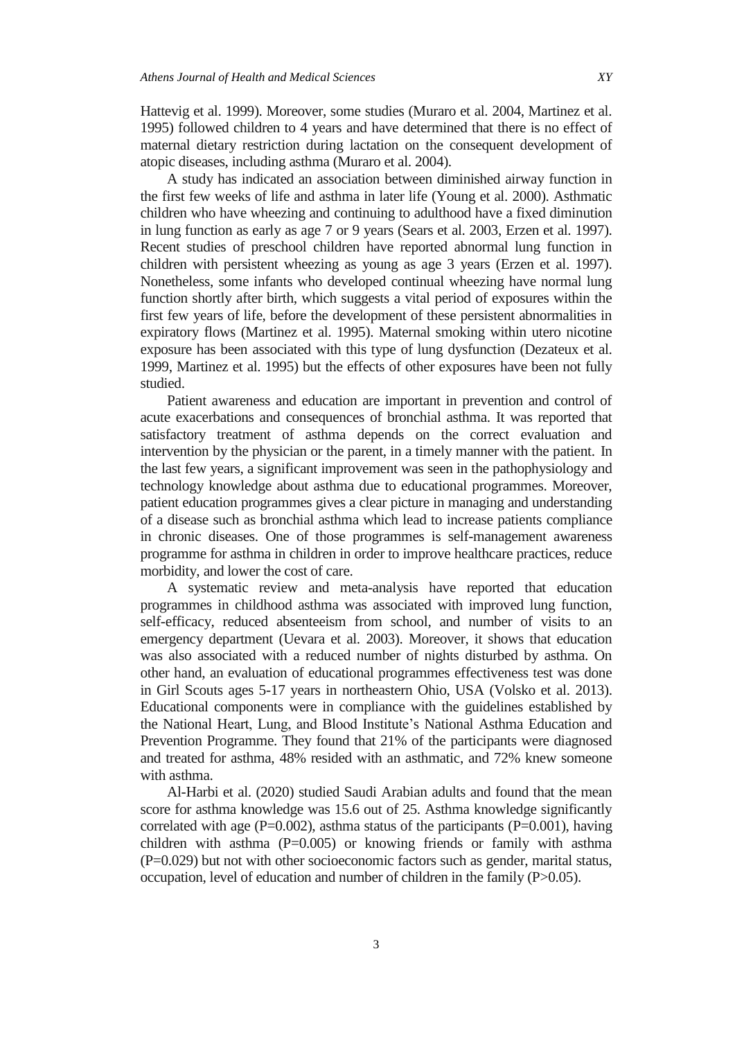Hattevig et al. 1999). Moreover, some studies (Muraro et al. 2004, Martinez et al. 1995) followed children to 4 years and have determined that there is no effect of maternal dietary restriction during lactation on the consequent development of atopic diseases, including asthma (Muraro et al. 2004).

A study has indicated an association between diminished airway function in the first few weeks of life and asthma in later life (Young et al. 2000). Asthmatic children who have wheezing and continuing to adulthood have a fixed diminution in lung function as early as age 7 or 9 years (Sears et al. 2003, Erzen et al. 1997). Recent studies of preschool children have reported abnormal lung function in children with persistent wheezing as young as age 3 years (Erzen et al. 1997). Nonetheless, some infants who developed continual wheezing have normal lung function shortly after birth, which suggests a vital period of exposures within the first few years of life, before the development of these persistent abnormalities in expiratory flows (Martinez et al. 1995). Maternal smoking within utero nicotine exposure has been associated with this type of lung dysfunction (Dezateux et al. 1999, Martinez et al. 1995) but the effects of other exposures have been not fully studied.

Patient awareness and education are important in prevention and control of acute exacerbations and consequences of bronchial asthma. It was reported that satisfactory treatment of asthma depends on the correct evaluation and intervention by the physician or the parent, in a timely manner with the patient. In the last few years, a significant improvement was seen in the pathophysiology and technology knowledge about asthma due to educational programmes. Moreover, patient education programmes gives a clear picture in managing and understanding of a disease such as bronchial asthma which lead to increase patients compliance in chronic diseases. One of those programmes is self-management awareness programme for asthma in children in order to improve healthcare practices, reduce morbidity, and lower the cost of care.

A systematic review and meta-analysis have reported that education programmes in childhood asthma was associated with improved lung function, self-efficacy, reduced absenteeism from school, and number of visits to an emergency department (Uevara et al. 2003). Moreover, it shows that education was also associated with a reduced number of nights disturbed by asthma. On other hand, an evaluation of educational programmes effectiveness test was done in Girl Scouts ages 5-17 years in northeastern Ohio, USA (Volsko et al. 2013). Educational components were in compliance with the guidelines established by the National Heart, Lung, and Blood Institute"s National Asthma Education and Prevention Programme. They found that 21% of the participants were diagnosed and treated for asthma, 48% resided with an asthmatic, and 72% knew someone with asthma.

Al-Harbi et al. (2020) studied Saudi Arabian adults and found that the mean score for asthma knowledge was 15.6 out of 25. Asthma knowledge significantly correlated with age  $(P=0.002)$ , asthma status of the participants  $(P=0.001)$ , having children with asthma (P=0.005) or knowing friends or family with asthma (P=0.029) but not with other socioeconomic factors such as gender, marital status, occupation, level of education and number of children in the family (P>0.05).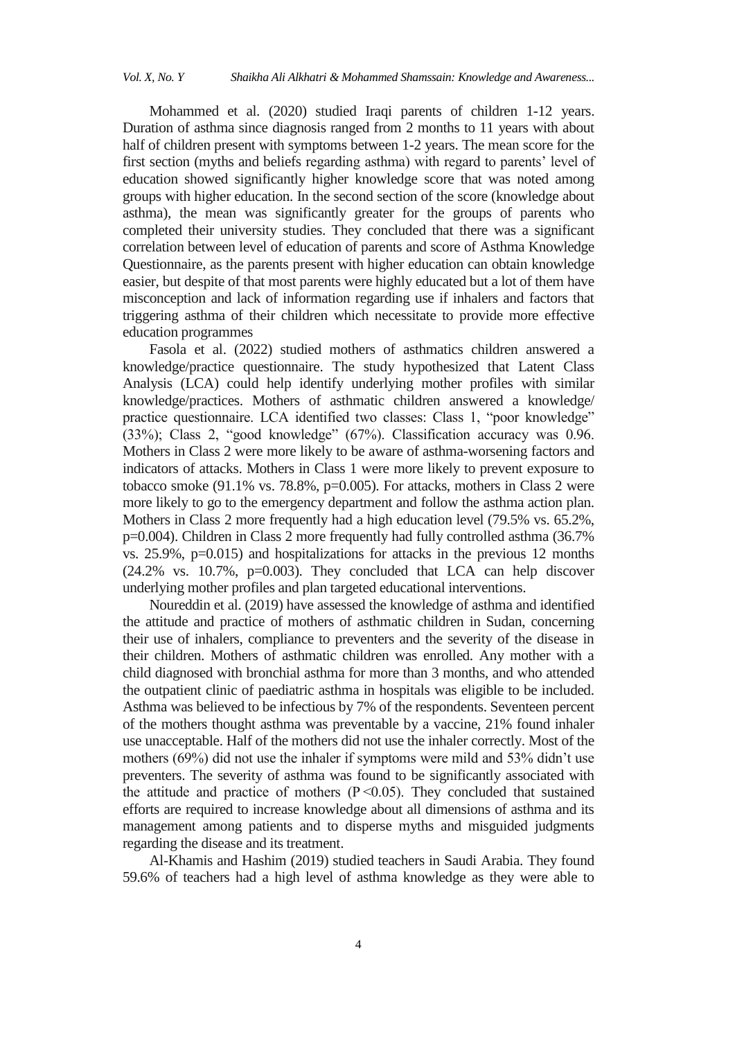Mohammed et al. (2020) studied Iraqi parents of children 1-12 years. Duration of asthma since diagnosis ranged from 2 months to 11 years with about half of children present with symptoms between 1-2 years. The mean score for the first section (myths and beliefs regarding asthma) with regard to parents' level of education showed significantly higher knowledge score that was noted among groups with higher education. In the second section of the score (knowledge about asthma), the mean was significantly greater for the groups of parents who completed their university studies. They concluded that there was a significant correlation between level of education of parents and score of Asthma Knowledge Questionnaire, as the parents present with higher education can obtain knowledge easier, but despite of that most parents were highly educated but a lot of them have misconception and lack of information regarding use if inhalers and factors that triggering asthma of their children which necessitate to provide more effective education programmes

Fasola et al. (2022) studied mothers of asthmatics children answered a knowledge/practice questionnaire. The study hypothesized that Latent Class Analysis (LCA) could help identify underlying mother profiles with similar knowledge/practices. Mothers of asthmatic children answered a knowledge/ practice questionnaire. LCA identified two classes: Class 1, "poor knowledge" (33%); Class 2, "good knowledge" (67%). Classification accuracy was 0.96. Mothers in Class 2 were more likely to be aware of asthma-worsening factors and indicators of attacks. Mothers in Class 1 were more likely to prevent exposure to tobacco smoke (91.1% vs. 78.8%, p=0.005). For attacks, mothers in Class 2 were more likely to go to the emergency department and follow the asthma action plan. Mothers in Class 2 more frequently had a high education level (79.5% vs. 65.2%, p=0.004). Children in Class 2 more frequently had fully controlled asthma (36.7% vs. 25.9%, p=0.015) and hospitalizations for attacks in the previous 12 months (24.2% vs. 10.7%, p=0.003). They concluded that LCA can help discover underlying mother profiles and plan targeted educational interventions.

Noureddin et al. (2019) have assessed the knowledge of asthma and identified the attitude and practice of mothers of asthmatic children in Sudan, concerning their use of inhalers, compliance to preventers and the severity of the disease in their children. Mothers of asthmatic children was enrolled. Any mother with a child diagnosed with bronchial asthma for more than 3 months, and who attended the outpatient clinic of paediatric asthma in hospitals was eligible to be included. Asthma was believed to be infectious by 7% of the respondents. Seventeen percent of the mothers thought asthma was preventable by a vaccine, 21% found inhaler use unacceptable. Half of the mothers did not use the inhaler correctly. Most of the mothers (69%) did not use the inhaler if symptoms were mild and 53% didn"t use preventers. The severity of asthma was found to be significantly associated with the attitude and practice of mothers  $(P \le 0.05)$ . They concluded that sustained efforts are required to increase knowledge about all dimensions of asthma and its management among patients and to disperse myths and misguided judgments regarding the disease and its treatment.

Al-Khamis and Hashim (2019) studied teachers in Saudi Arabia. They found 59.6% of teachers had a high level of asthma knowledge as they were able to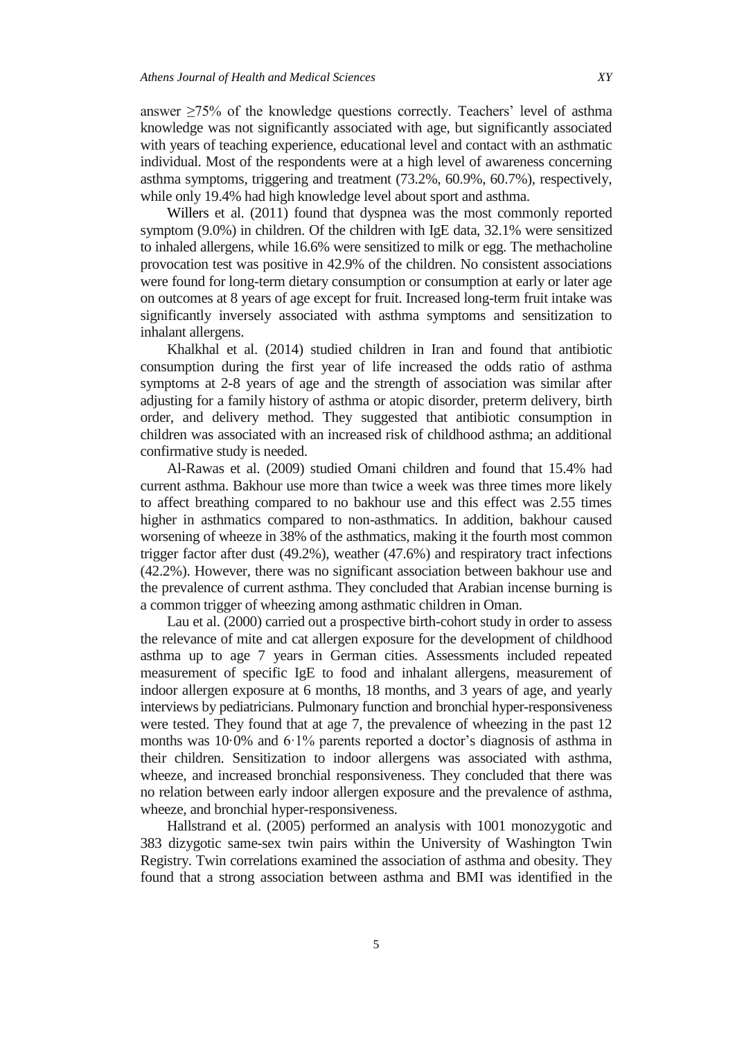answer  $\geq$ 75% of the knowledge questions correctly. Teachers' level of asthma knowledge was not significantly associated with age, but significantly associated with years of teaching experience, educational level and contact with an asthmatic individual. Most of the respondents were at a high level of awareness concerning asthma symptoms, triggering and treatment (73.2%, 60.9%, 60.7%), respectively, while only 19.4% had high knowledge level about sport and asthma.

Willers et al. (2011) found that dyspnea was the most commonly reported symptom (9.0%) in children. Of the children with IgE data, 32.1% were sensitized to inhaled allergens, while 16.6% were sensitized to milk or egg. The methacholine provocation test was positive in 42.9% of the children. No consistent associations were found for long-term dietary consumption or consumption at early or later age on outcomes at 8 years of age except for fruit. Increased long-term fruit intake was significantly inversely associated with asthma symptoms and sensitization to inhalant allergens.

Khalkhal et al. (2014) studied children in Iran and found that antibiotic consumption during the first year of life increased the odds ratio of asthma symptoms at 2-8 years of age and the strength of association was similar after adjusting for a family history of asthma or atopic disorder, preterm delivery, birth order, and delivery method. They suggested that antibiotic consumption in children was associated with an increased risk of childhood asthma; an additional confirmative study is needed.

Al-Rawas et al. (2009) studied Omani children and found that 15.4% had current asthma. Bakhour use more than twice a week was three times more likely to affect breathing compared to no bakhour use and this effect was 2.55 times higher in asthmatics compared to non-asthmatics. In addition, bakhour caused worsening of wheeze in 38% of the asthmatics, making it the fourth most common trigger factor after dust (49.2%), weather (47.6%) and respiratory tract infections (42.2%). However, there was no significant association between bakhour use and the prevalence of current asthma. They concluded that Arabian incense burning is a common trigger of wheezing among asthmatic children in Oman.

Lau et al. (2000) carried out a prospective birth-cohort study in order to assess the relevance of mite and cat allergen exposure for the development of childhood asthma up to age 7 years in German cities. Assessments included repeated measurement of specific IgE to food and inhalant allergens, measurement of indoor allergen exposure at 6 months, 18 months, and 3 years of age, and yearly interviews by pediatricians. Pulmonary function and bronchial hyper-responsiveness were tested. They found that at age 7, the prevalence of wheezing in the past 12 months was 10.0% and 6.1% parents reported a doctor's diagnosis of asthma in their children. Sensitization to indoor allergens was associated with asthma, wheeze, and increased bronchial responsiveness. They concluded that there was no relation between early indoor allergen exposure and the prevalence of asthma, wheeze, and bronchial hyper-responsiveness.

Hallstrand et al. (2005) performed an analysis with 1001 monozygotic and 383 dizygotic same-sex twin pairs within the University of Washington Twin Registry. Twin correlations examined the association of asthma and obesity. They found that a strong association between asthma and BMI was identified in the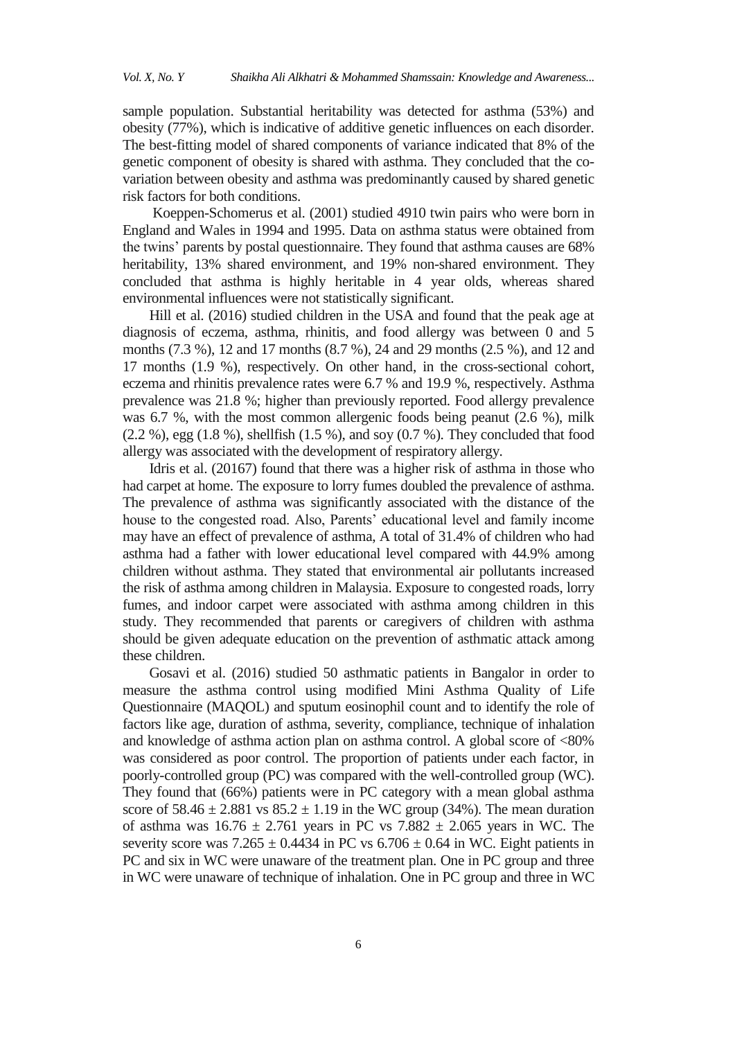sample population. Substantial heritability was detected for asthma (53%) and obesity (77%), which is indicative of additive genetic influences on each disorder. The best-fitting model of shared components of variance indicated that 8% of the genetic component of obesity is shared with asthma. They concluded that the covariation between obesity and asthma was predominantly caused by shared genetic risk factors for both conditions.

Koeppen-Schomerus et al. (2001) studied 4910 twin pairs who were born in England and Wales in 1994 and 1995. Data on asthma status were obtained from the twins" parents by postal questionnaire. They found that asthma causes are 68% heritability, 13% shared environment, and 19% non-shared environment. They concluded that asthma is highly heritable in 4 year olds, whereas shared environmental influences were not statistically significant.

Hill et al. (2016) studied children in the USA and found that the peak age at diagnosis of eczema, asthma, rhinitis, and food allergy was between 0 and 5 months (7.3 %), 12 and 17 months (8.7 %), 24 and 29 months (2.5 %), and 12 and 17 months (1.9 %), respectively. On other hand, in the cross-sectional cohort, eczema and rhinitis prevalence rates were 6.7 % and 19.9 %, respectively. Asthma prevalence was 21.8 %; higher than previously reported. Food allergy prevalence was 6.7 %, with the most common allergenic foods being peanut (2.6 %), milk (2.2 %), egg (1.8 %), shellfish (1.5 %), and soy (0.7 %). They concluded that food allergy was associated with the development of respiratory allergy.

Idris et al. (20167) found that there was a higher risk of asthma in those who had carpet at home. The exposure to lorry fumes doubled the prevalence of asthma. The prevalence of asthma was significantly associated with the distance of the house to the congested road. Also, Parents' educational level and family income may have an effect of prevalence of asthma, A total of 31.4% of children who had asthma had a father with lower educational level compared with 44.9% among children without asthma. They stated that environmental air pollutants increased the risk of asthma among children in Malaysia. Exposure to congested roads, lorry fumes, and indoor carpet were associated with asthma among children in this study. They recommended that parents or caregivers of children with asthma should be given adequate education on the prevention of asthmatic attack among these children.

Gosavi et al. (2016) studied 50 asthmatic patients in Bangalor in order to measure the asthma control using modified Mini Asthma Quality of Life Questionnaire (MAQOL) and sputum eosinophil count and to identify the role of factors like age, duration of asthma, severity, compliance, technique of inhalation and knowledge of asthma action plan on asthma control. A global score of <80% was considered as poor control. The proportion of patients under each factor, in poorly-controlled group (PC) was compared with the well-controlled group (WC). They found that (66%) patients were in PC category with a mean global asthma score of  $58.46 \pm 2.881$  vs  $85.2 \pm 1.19$  in the WC group (34%). The mean duration of asthma was  $16.76 \pm 2.761$  years in PC vs 7.882  $\pm$  2.065 years in WC. The severity score was  $7.265 \pm 0.4434$  in PC vs  $6.706 \pm 0.64$  in WC. Eight patients in PC and six in WC were unaware of the treatment plan. One in PC group and three in WC were unaware of technique of inhalation. One in PC group and three in WC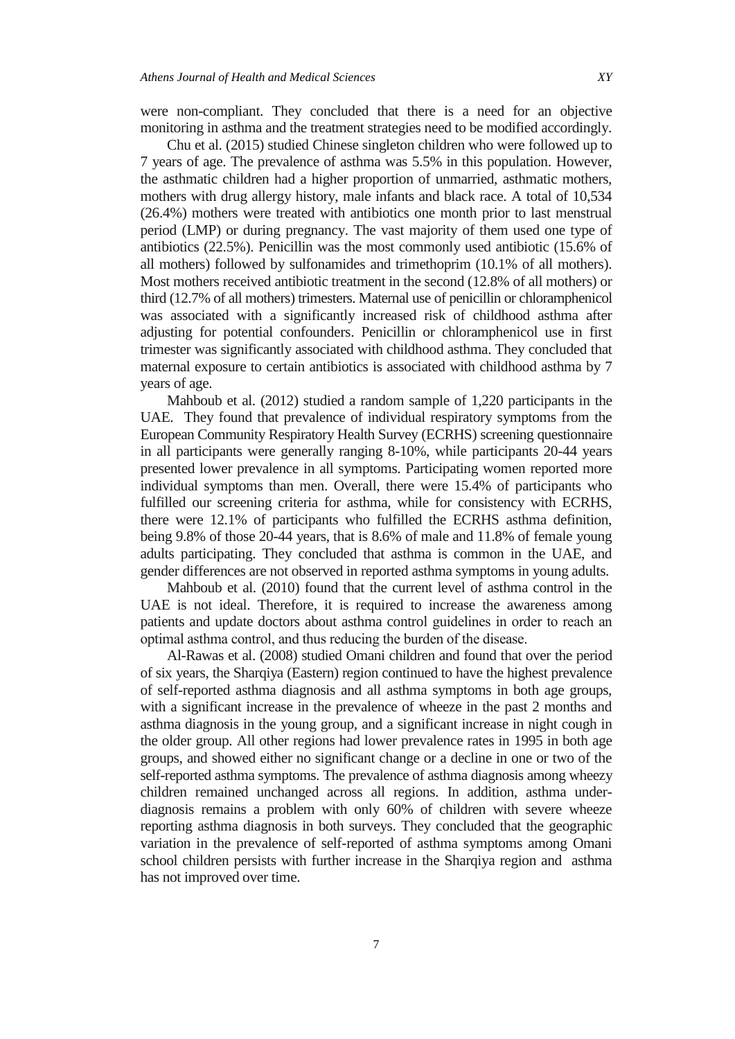were non-compliant. They concluded that there is a need for an objective monitoring in asthma and the treatment strategies need to be modified accordingly.

Chu et al. (2015) studied Chinese singleton children who were followed up to 7 years of age. The prevalence of asthma was 5.5% in this population. However, the asthmatic children had a higher proportion of unmarried, asthmatic mothers, mothers with drug allergy history, male infants and black race. A total of 10,534 (26.4%) mothers were treated with antibiotics one month prior to last menstrual period (LMP) or during pregnancy. The vast majority of them used one type of antibiotics (22.5%). Penicillin was the most commonly used antibiotic (15.6% of all mothers) followed by sulfonamides and trimethoprim (10.1% of all mothers). Most mothers received antibiotic treatment in the second (12.8% of all mothers) or third (12.7% of all mothers) trimesters. Maternal use of penicillin or chloramphenicol was associated with a significantly increased risk of childhood asthma after adjusting for potential confounders. Penicillin or chloramphenicol use in first trimester was significantly associated with childhood asthma. They concluded that maternal exposure to certain antibiotics is associated with childhood asthma by 7 years of age.

Mahboub et al. (2012) studied a random sample of 1,220 participants in the UAE. They found that prevalence of individual respiratory symptoms from the European Community Respiratory Health Survey (ECRHS) screening questionnaire in all participants were generally ranging 8-10%, while participants 20-44 years presented lower prevalence in all symptoms. Participating women reported more individual symptoms than men. Overall, there were 15.4% of participants who fulfilled our screening criteria for asthma, while for consistency with ECRHS, there were 12.1% of participants who fulfilled the ECRHS asthma definition, being 9.8% of those 20-44 years, that is 8.6% of male and 11.8% of female young adults participating. They concluded that asthma is common in the UAE, and gender differences are not observed in reported asthma symptoms in young adults.

Mahboub et al. (2010) found that the current level of asthma control in the UAE is not ideal. Therefore, it is required to increase the awareness among patients and update doctors about asthma control guidelines in order to reach an optimal asthma control, and thus reducing the burden of the disease.

Al-Rawas et al. (2008) studied Omani children and found that over the period of six years, the Sharqiya (Eastern) region continued to have the highest prevalence of self-reported asthma diagnosis and all asthma symptoms in both age groups, with a significant increase in the prevalence of wheeze in the past 2 months and asthma diagnosis in the young group, and a significant increase in night cough in the older group. All other regions had lower prevalence rates in 1995 in both age groups, and showed either no significant change or a decline in one or two of the self-reported asthma symptoms. The prevalence of asthma diagnosis among wheezy children remained unchanged across all regions. In addition, asthma underdiagnosis remains a problem with only 60% of children with severe wheeze reporting asthma diagnosis in both surveys. They concluded that the geographic variation in the prevalence of self-reported of asthma symptoms among Omani school children persists with further increase in the Sharqiya region and asthma has not improved over time.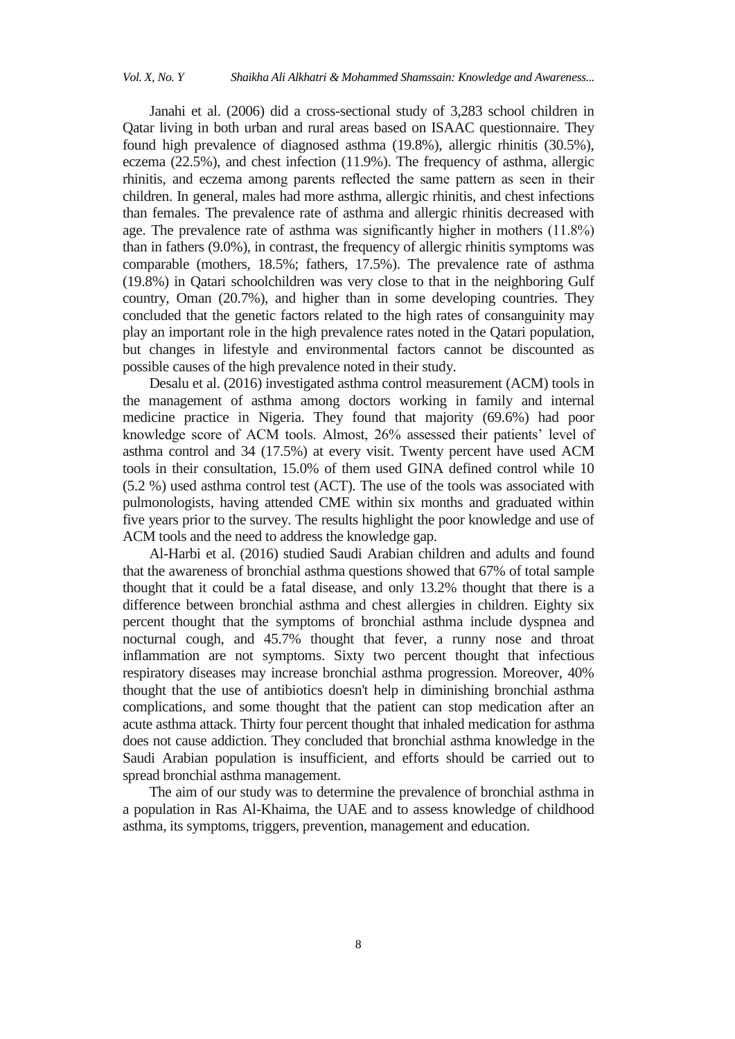Janahi et al. (2006) did a cross-sectional study of 3,283 school children in Qatar living in both urban and rural areas based on ISAAC questionnaire. They found high prevalence of diagnosed asthma (19.8%), allergic rhinitis (30.5%), eczema (22.5%), and chest infection (11.9%). The frequency of asthma, allergic rhinitis, and eczema among parents reflected the same pattern as seen in their children. In general, males had more asthma, allergic rhinitis, and chest infections than females. The prevalence rate of asthma and allergic rhinitis decreased with age. The prevalence rate of asthma was significantly higher in mothers (11.8%) than in fathers (9.0%), in contrast, the frequency of allergic rhinitis symptoms was comparable (mothers, 18.5%; fathers, 17.5%). The prevalence rate of asthma (19.8%) in Qatari schoolchildren was very close to that in the neighboring Gulf country, Oman (20.7%), and higher than in some developing countries. They concluded that the genetic factors related to the high rates of consanguinity may play an important role in the high prevalence rates noted in the Qatari population, but changes in lifestyle and environmental factors cannot be discounted as possible causes of the high prevalence noted in their study.

Desalu et al. (2016) investigated asthma control measurement (ACM) tools in the management of asthma among doctors working in family and internal medicine practice in Nigeria. They found that majority (69.6%) had poor knowledge score of ACM tools. Almost, 26% assessed their patients' level of asthma control and 34 (17.5%) at every visit. Twenty percent have used ACM tools in their consultation, 15.0% of them used GINA defined control while 10 (5.2 %) used asthma control test (ACT). The use of the tools was associated with pulmonologists, having attended CME within six months and graduated within five years prior to the survey. The results highlight the poor knowledge and use of ACM tools and the need to address the knowledge gap.

Al-Harbi et al. (2016) studied Saudi Arabian children and adults and found that the awareness of bronchial asthma questions showed that 67% of total sample thought that it could be a fatal disease, and only 13.2% thought that there is a difference between bronchial asthma and chest allergies in children. Eighty six percent thought that the symptoms of bronchial asthma include dyspnea and nocturnal cough, and 45.7% thought that fever, a runny nose and throat inflammation are not symptoms. Sixty two percent thought that infectious respiratory diseases may increase bronchial asthma progression. Moreover, 40% thought that the use of antibiotics doesn't help in diminishing bronchial asthma complications, and some thought that the patient can stop medication after an acute asthma attack. Thirty four percent thought that inhaled medication for asthma does not cause addiction. They concluded that bronchial asthma knowledge in the Saudi Arabian population is insufficient, and efforts should be carried out to spread bronchial asthma management.

The aim of our study was to determine the prevalence of bronchial asthma in a population in Ras Al-Khaima, the UAE and to assess knowledge of childhood asthma, its symptoms, triggers, prevention, management and education.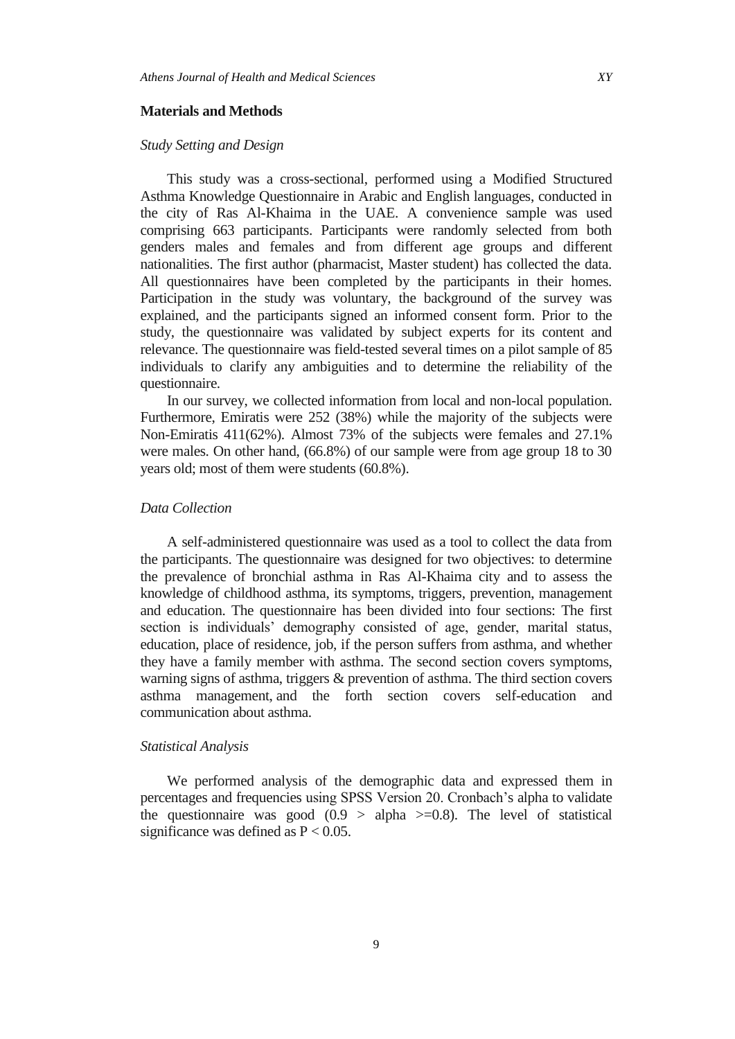#### **Materials and Methods**

# *Study Setting and Design*

This study was a cross-sectional, performed using a Modified Structured Asthma Knowledge Questionnaire in Arabic and English languages, conducted in the city of Ras Al-Khaima in the UAE. A convenience sample was used comprising 663 participants. Participants were randomly selected from both genders males and females and from different age groups and different nationalities. The first author (pharmacist, Master student) has collected the data. All questionnaires have been completed by the participants in their homes. Participation in the study was voluntary, the background of the survey was explained, and the participants signed an informed consent form. Prior to the study, the questionnaire was validated by subject experts for its content and relevance. The questionnaire was field-tested several times on a pilot sample of 85 individuals to clarify any ambiguities and to determine the reliability of the questionnaire.

In our survey, we collected information from local and non-local population. Furthermore, Emiratis were 252 (38%) while the majority of the subjects were Non-Emiratis 411(62%). Almost 73% of the subjects were females and 27.1% were males. On other hand, (66.8%) of our sample were from age group 18 to 30 years old; most of them were students (60.8%).

# *Data Collection*

A self-administered questionnaire was used as a tool to collect the data from the participants. The questionnaire was designed for two objectives: to determine the prevalence of bronchial asthma in Ras Al-Khaima city and to assess the knowledge of childhood asthma, its symptoms, triggers, prevention, management and education. The questionnaire has been divided into four sections: The first section is individuals' demography consisted of age, gender, marital status, education, place of residence, job, if the person suffers from asthma, and whether they have a family member with asthma. The second section covers symptoms, warning signs of asthma, triggers & prevention of asthma. The third section covers asthma management, and the forth section covers self-education and communication about asthma.

#### *Statistical Analysis*

We performed analysis of the demographic data and expressed them in percentages and frequencies using SPSS Version 20. Cronbach's alpha to validate the questionnaire was good  $(0.9 > alpha \geq 0.8)$ . The level of statistical significance was defined as  $P < 0.05$ .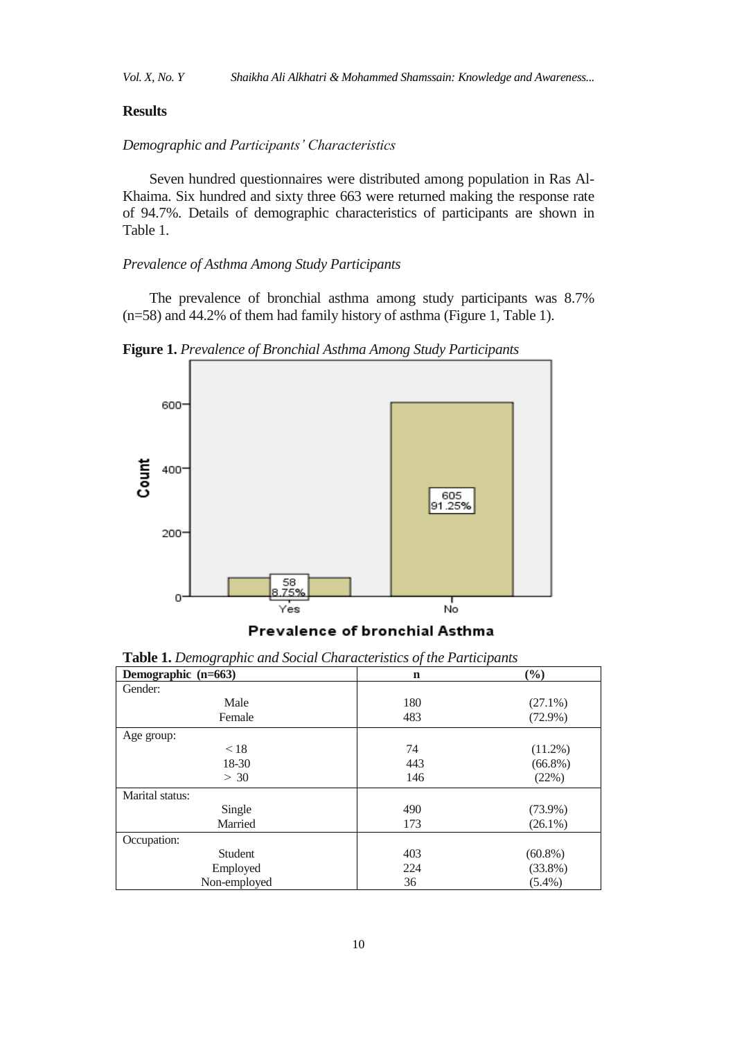## **Results**

# *Demographic and Participants' Characteristics*

Seven hundred questionnaires were distributed among population in Ras Al-Khaima. Six hundred and sixty three 663 were returned making the response rate of 94.7%. Details of demographic characteristics of participants are shown in Table 1.

# *Prevalence of Asthma Among Study Participants*

The prevalence of bronchial asthma among study participants was 8.7% (n=58) and 44.2% of them had family history of asthma (Figure 1, Table 1).

600 Count 400 605 91.25% 200 o No Yes

**Figure 1.** *Prevalence of Bronchial Asthma Among Study Participants*

# Prevalence of bronchial Asthma

| Demographic (n=663) | $\mathbf n$ | (%)        |
|---------------------|-------------|------------|
| Gender:             |             |            |
| Male                | 180         | $(27.1\%)$ |
| Female              | 483         | $(72.9\%)$ |
| Age group:          |             |            |
| < 18                | 74          | $(11.2\%)$ |
| 18-30               | 443         | $(66.8\%)$ |
| > 30                | 146         | (22%)      |
| Marital status:     |             |            |
| Single              | 490         | $(73.9\%)$ |
| Married             | 173         | $(26.1\%)$ |
| Occupation:         |             |            |
| Student             | 403         | $(60.8\%)$ |
| Employed            | 224         | $(33.8\%)$ |
| Non-employed        | 36          | $(5.4\%)$  |

**Table 1.** *Demographic and Social Characteristics of the Participants*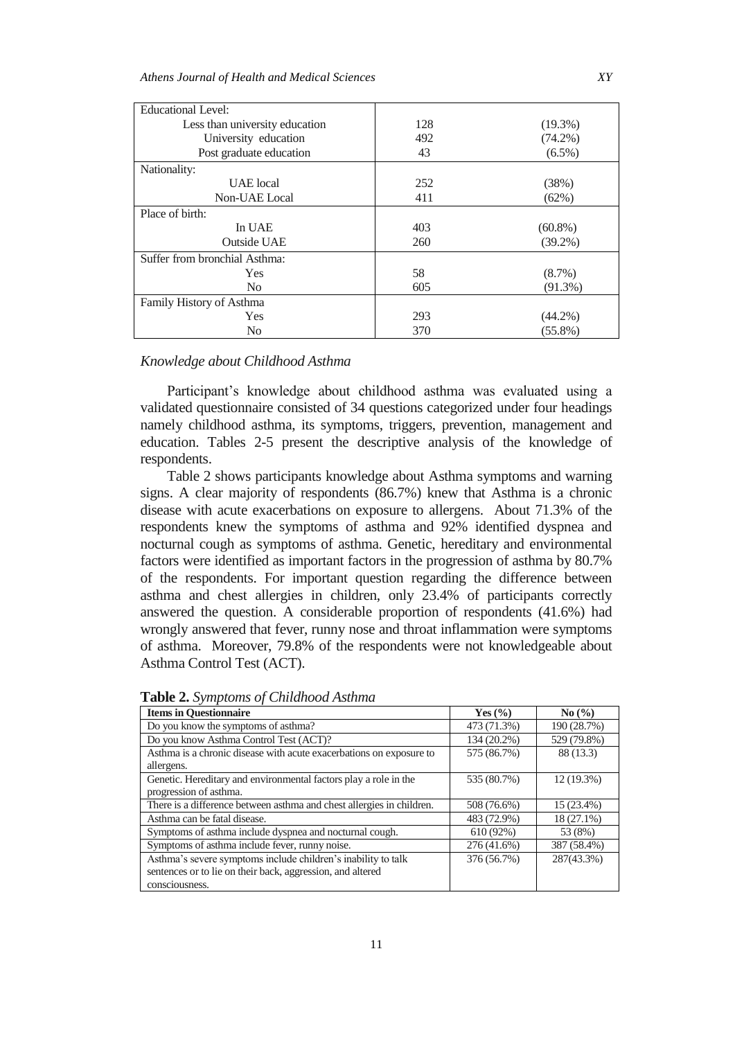| <b>Educational Level:</b>      |     |            |
|--------------------------------|-----|------------|
| Less than university education | 128 | $(19.3\%)$ |
| University education           | 492 | $(74.2\%)$ |
| Post graduate education        | 43  | $(6.5\%)$  |
| Nationality:                   |     |            |
| UAE local                      | 252 | (38%)      |
| Non-UAE Local                  | 411 | (62%)      |
| Place of birth:                |     |            |
| In UAE                         | 403 | $(60.8\%)$ |
| <b>Outside UAE</b>             | 260 | $(39.2\%)$ |
| Suffer from bronchial Asthma:  |     |            |
| <b>Yes</b>                     | 58  | $(8.7\%)$  |
| N <sub>0</sub>                 | 605 | $(91.3\%)$ |
| Family History of Asthma       |     |            |
| Yes                            | 293 | $(44.2\%)$ |
| N <sub>0</sub>                 | 370 | $(55.8\%)$ |

# *Knowledge about Childhood Asthma*

Participant's knowledge about childhood asthma was evaluated using a validated questionnaire consisted of 34 questions categorized under four headings namely childhood asthma, its symptoms, triggers, prevention, management and education. Tables 2-5 present the descriptive analysis of the knowledge of respondents.

Table 2 shows participants knowledge about Asthma symptoms and warning signs. A clear majority of respondents (86.7%) knew that Asthma is a chronic disease with acute exacerbations on exposure to allergens. About 71.3% of the respondents knew the symptoms of asthma and 92% identified dyspnea and nocturnal cough as symptoms of asthma. Genetic, hereditary and environmental factors were identified as important factors in the progression of asthma by 80.7% of the respondents. For important question regarding the difference between asthma and chest allergies in children, only 23.4% of participants correctly answered the question. A considerable proportion of respondents (41.6%) had wrongly answered that fever, runny nose and throat inflammation were symptoms of asthma. Moreover, 79.8% of the respondents were not knowledgeable about Asthma Control Test (ACT).

| <b>Items in Questionnaire</b>                                         | Yes $\left(\frac{9}{6}\right)$ | $\mathrm{No} \left( \frac{9}{6} \right)$ |
|-----------------------------------------------------------------------|--------------------------------|------------------------------------------|
| Do you know the symptoms of asthma?                                   | 473 (71.3%)                    | 190 (28.7%)                              |
| Do you know Asthma Control Test (ACT)?                                | 134 (20.2%)                    | 529 (79.8%)                              |
| Asthma is a chronic disease with acute exacerbations on exposure to   | 575 (86.7%)                    | 88 (13.3)                                |
| allergens.                                                            |                                |                                          |
| Genetic. Hereditary and environmental factors play a role in the      | 535 (80.7%)                    | $12(19.3\%)$                             |
| progression of asthma.                                                |                                |                                          |
| There is a difference between asthma and chest allergies in children. | 508 (76.6%)                    | 15 (23.4%)                               |
| Asthma can be fatal disease.                                          | 483 (72.9%)                    | 18 (27.1%)                               |
| Symptoms of asthma include dyspnea and nocturnal cough.               | 610(92%)                       | 53 (8%)                                  |
| Symptoms of asthma include fever, runny noise.                        | 276 (41.6%)                    | 387 (58.4%)                              |
| Asthma's severe symptoms include children's inability to talk         | 376 (56.7%)                    | 287(43.3%)                               |
| sentences or to lie on their back, aggression, and altered            |                                |                                          |
| consciousness.                                                        |                                |                                          |

**Table 2.** *Symptoms of Childhood Asthma*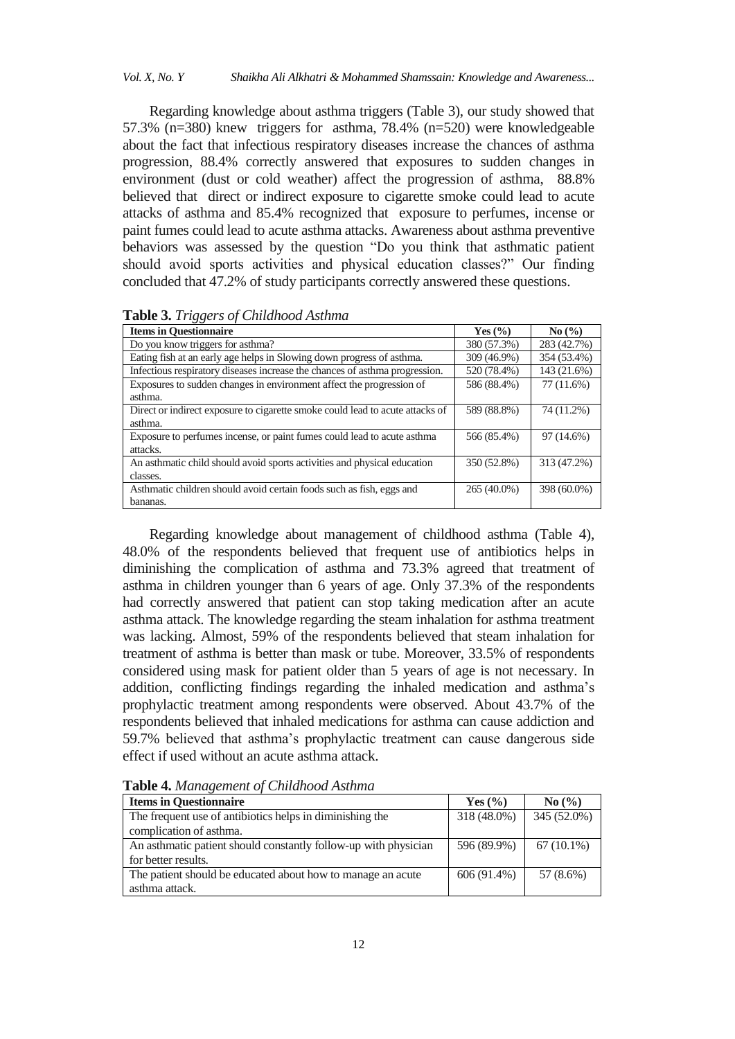Regarding knowledge about asthma triggers (Table 3), our study showed that 57.3% (n=380) knew triggers for asthma, 78.4% (n=520) were knowledgeable about the fact that infectious respiratory diseases increase the chances of asthma progression, 88.4% correctly answered that exposures to sudden changes in environment (dust or cold weather) affect the progression of asthma, 88.8% believed that direct or indirect exposure to cigarette smoke could lead to acute attacks of asthma and 85.4% recognized that exposure to perfumes, incense or paint fumes could lead to acute asthma attacks. Awareness about asthma preventive behaviors was assessed by the question "Do you think that asthmatic patient should avoid sports activities and physical education classes?" Our finding concluded that 47.2% of study participants correctly answered these questions.

| <b>Items in Questionnaire</b>                                                 | Yes $(\% )$ | $\mathrm{No}$ (%) |
|-------------------------------------------------------------------------------|-------------|-------------------|
| Do you know triggers for asthma?                                              | 380 (57.3%) | 283 (42.7%)       |
| Eating fish at an early age helps in Slowing down progress of asthma.         | 309 (46.9%) | 354 (53.4%)       |
| Infectious respiratory diseases increase the chances of asthma progression.   | 520 (78.4%) | 143 (21.6%)       |
| Exposures to sudden changes in environment affect the progression of          | 586 (88.4%) | $77(11.6\%)$      |
| asthma.                                                                       |             |                   |
| Direct or indirect exposure to cigarette smoke could lead to acute attacks of | 589 (88.8%) | 74 (11.2%)        |
| asthma.                                                                       |             |                   |
| Exposure to perfumes incense, or paint fumes could lead to acute asthma       | 566 (85.4%) | 97 (14.6%)        |
| attacks.                                                                      |             |                   |
| An asthmatic child should avoid sports activities and physical education      | 350 (52.8%) | 313 (47.2%)       |
| classes.                                                                      |             |                   |
| Asthmatic children should avoid certain foods such as fish, eggs and          | 265 (40.0%) | 398 (60.0%)       |
| bananas.                                                                      |             |                   |

**Table 3.** *Triggers of Childhood Asthma*

Regarding knowledge about management of childhood asthma (Table 4), 48.0% of the respondents believed that frequent use of antibiotics helps in diminishing the complication of asthma and 73.3% agreed that treatment of asthma in children younger than 6 years of age. Only 37.3% of the respondents had correctly answered that patient can stop taking medication after an acute asthma attack. The knowledge regarding the steam inhalation for asthma treatment was lacking. Almost, 59% of the respondents believed that steam inhalation for treatment of asthma is better than mask or tube. Moreover, 33.5% of respondents considered using mask for patient older than 5 years of age is not necessary. In addition, conflicting findings regarding the inhaled medication and asthma"s prophylactic treatment among respondents were observed. About 43.7% of the respondents believed that inhaled medications for asthma can cause addiction and 59.7% elieved that asthma"s prophylactic treatment can cause dangerous side effect if used without an acute asthma attack.

| <b>Items in Questionnaire</b>                                   | Yes $(\% )$ | $\mathrm{No} \left( \frac{9}{6} \right)$ |
|-----------------------------------------------------------------|-------------|------------------------------------------|
| The frequent use of antibiotics helps in diminishing the        | 318 (48.0%) | 345 (52.0%)                              |
| complication of asthma.                                         |             |                                          |
| An asthmatic patient should constantly follow-up with physician | 596 (89.9%) | $67(10.1\%)$                             |
| for better results.                                             |             |                                          |
| The patient should be educated about how to manage an acute     | 606 (91.4%) | 57 (8.6%)                                |
| asthma attack.                                                  |             |                                          |

**Table 4.** *Management of Childhood Asthma*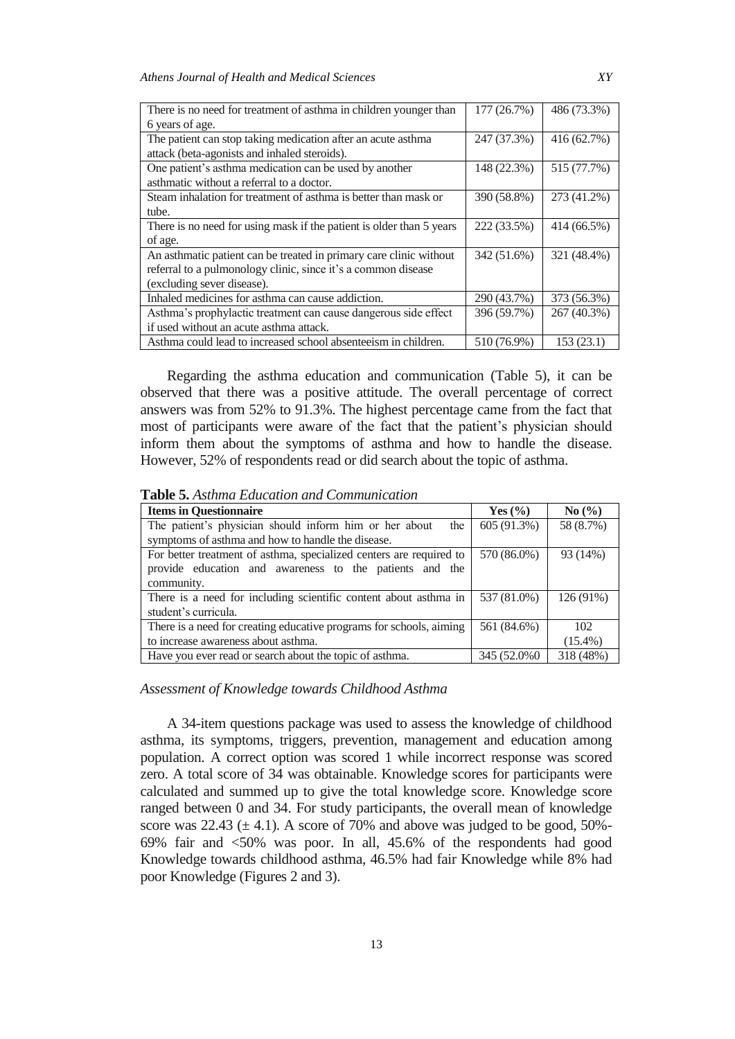| There is no need for treatment of asthma in children younger than    | 177 (26.7%) | 486 (73.3%) |
|----------------------------------------------------------------------|-------------|-------------|
| 6 years of age.                                                      |             |             |
| The patient can stop taking medication after an acute asthma         | 247 (37.3%) | 416 (62.7%) |
| attack (beta-agonists and inhaled steroids).                         |             |             |
| One patient's asthma medication can be used by another               | 148 (22.3%) | 515 (77.7%) |
| asthmatic without a referral to a doctor.                            |             |             |
| Steam inhalation for treatment of asthma is better than mask or      | 390 (58.8%) | 273 (41.2%) |
| tube.                                                                |             |             |
| There is no need for using mask if the patient is older than 5 years | 222 (33.5%) | 414 (66.5%) |
| of age.                                                              |             |             |
| An asthmatic patient can be treated in primary care clinic without   | 342 (51.6%) | 321 (48.4%) |
| referral to a pulmonology clinic, since it's a common disease        |             |             |
| (excluding sever disease).                                           |             |             |
| Inhaled medicines for asthma can cause addiction.                    | 290 (43.7%) | 373 (56.3%) |
| Asthma's prophylactic treatment can cause dangerous side effect      | 396 (59.7%) | 267 (40.3%) |
| if used without an acute asthma attack.                              |             |             |
| Asthma could lead to increased school absenteeism in children.       | 510 (76.9%) | 153(23.1)   |

Regarding the asthma education and communication (Table 5), it can be observed that there was a positive attitude. The overall percentage of correct answers was from 52% to 91.3%. The highest percentage came from the fact that most of participants were aware of the fact that the patient"s physician should inform them about the symptoms of asthma and how to handle the disease. However, 52% of respondents read or did search about the topic of asthma.

**Table 5.** *Asthma Education and Communication*

| <b>Items in Questionnaire</b>                                       | Yes $(\% )$ | No(%)      |
|---------------------------------------------------------------------|-------------|------------|
| The patient's physician should inform him or her about<br>the       | 605 (91.3%) | 58 (8.7%)  |
| symptoms of asthma and how to handle the disease.                   |             |            |
| For better treatment of asthma, specialized centers are required to | 570 (86.0%) | 93 (14%)   |
| provide education and awareness to the patients and the             |             |            |
| community.                                                          |             |            |
| There is a need for including scientific content about asthma in    | 537 (81.0%) | 126 (91%)  |
| student's curricula.                                                |             |            |
| There is a need for creating educative programs for schools, aiming | 561 (84.6%) | 102        |
| to increase awareness about asthma.                                 |             | $(15.4\%)$ |
| Have you ever read or search about the topic of asthma.             | 345 (52.0%) | 318 (48%)  |

#### *Assessment of Knowledge towards Childhood Asthma*

A 34-item questions package was used to assess the knowledge of childhood asthma, its symptoms, triggers, prevention, management and education among population. A correct option was scored 1 while incorrect response was scored zero. A total score of 34 was obtainable. Knowledge scores for participants were calculated and summed up to give the total knowledge score. Knowledge score ranged between 0 and 34. For study participants, the overall mean of knowledge score was  $22.43 \ (\pm 4.1)$ . A score of 70% and above was judged to be good, 50%-69% fair and <50% was poor. In all, 45.6% of the respondents had good Knowledge towards childhood asthma, 46.5% had fair Knowledge while 8% had poor Knowledge (Figures 2 and 3).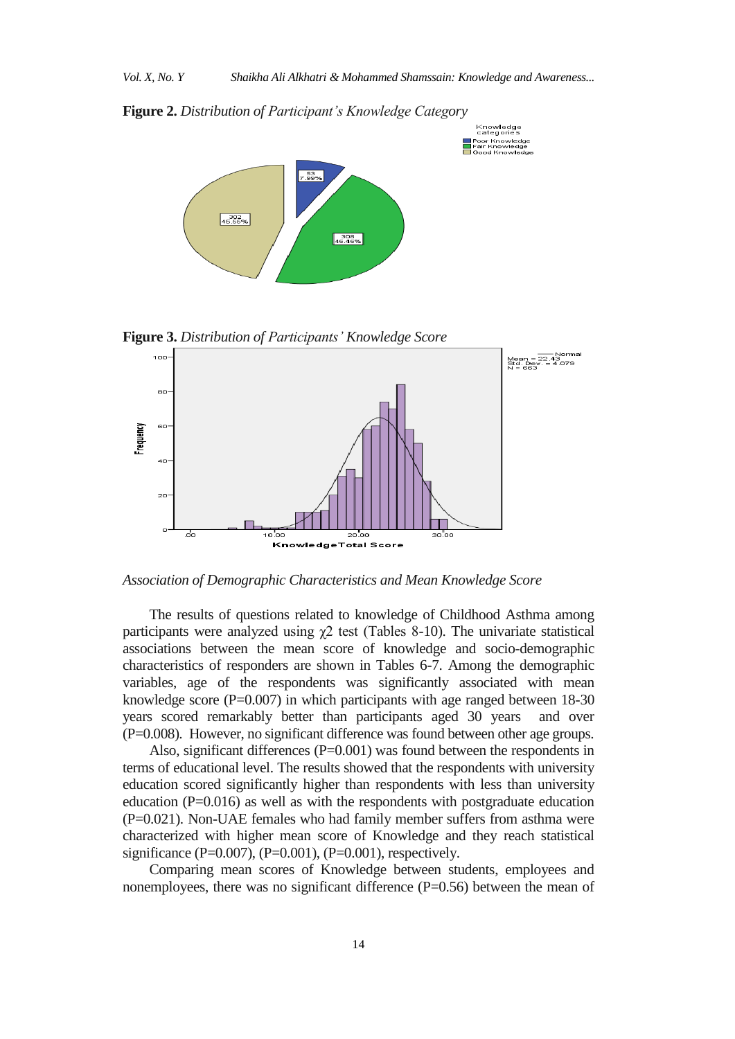**Figure 2.** *Distribution of Participant's Knowledge Category* 



**Figure 3.** *Distribution of Participants' Knowledge Score*



*Association of Demographic Characteristics and Mean Knowledge Score*

The results of questions related to knowledge of Childhood Asthma among participants were analyzed using  $\chi$ 2 test (Tables 8-10). The univariate statistical associations between the mean score of knowledge and socio-demographic characteristics of responders are shown in Tables 6-7. Among the demographic variables, age of the respondents was significantly associated with mean knowledge score  $(P=0.007)$  in which participants with age ranged between 18-30 years scored remarkably better than participants aged 30 years and over (P=0.008). However, no significant difference was found between other age groups.

Also, significant differences  $(P=0.001)$  was found between the respondents in terms of educational level. The results showed that the respondents with university education scored significantly higher than respondents with less than university education (P=0.016) as well as with the respondents with postgraduate education (P=0.021). Non-UAE females who had family member suffers from asthma were characterized with higher mean score of Knowledge and they reach statistical significance (P=0.007), (P=0.001), (P=0.001), respectively.

Comparing mean scores of Knowledge between students, employees and nonemployees, there was no significant difference (P=0.56) between the mean of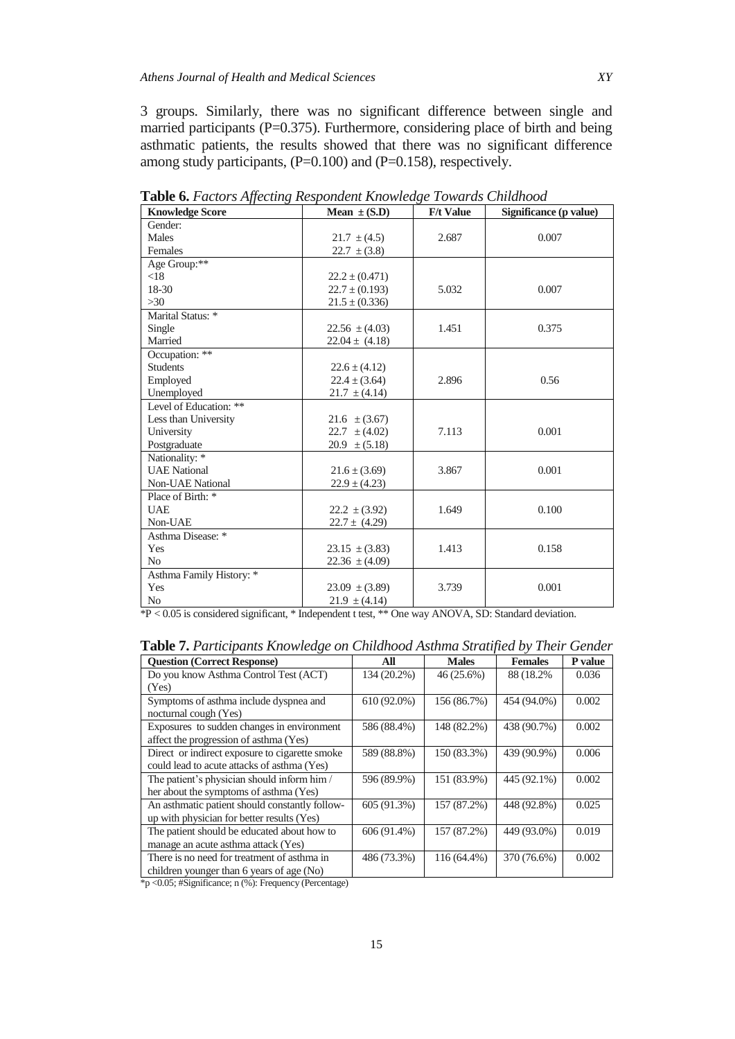3 groups. Similarly, there was no significant difference between single and married participants ( $P=0.375$ ). Furthermore, considering place of birth and being asthmatic patients, the results showed that there was no significant difference among study participants, (P=0.100) and (P=0.158), respectively.

| <b>Knowledge Score</b>   | Mean $\pm$ (S.D)   | <b>F/t Value</b> | Significance (p value) |
|--------------------------|--------------------|------------------|------------------------|
| Gender:                  |                    |                  |                        |
| Males                    | $21.7 \pm (4.5)$   | 2.687            | 0.007                  |
| Females                  | $22.7 \pm (3.8)$   |                  |                        |
| Age Group:**             |                    |                  |                        |
| < 18                     | $22.2 \pm (0.471)$ |                  |                        |
| 18-30                    | $22.7 \pm (0.193)$ | 5.032            | 0.007                  |
| $>30$                    | $21.5 \pm (0.336)$ |                  |                        |
| Marital Status: *        |                    |                  |                        |
| Single                   | $22.56 \pm (4.03)$ | 1.451            | 0.375                  |
| Married                  | $22.04 \pm (4.18)$ |                  |                        |
| Occupation: **           |                    |                  |                        |
| <b>Students</b>          | $22.6 \pm (4.12)$  |                  |                        |
| Employed                 | $22.4 \pm (3.64)$  | 2.896            | 0.56                   |
| Unemployed               | $21.7 \pm (4.14)$  |                  |                        |
| Level of Education: **   |                    |                  |                        |
| Less than University     | $21.6 \pm (3.67)$  |                  |                        |
| University               | $22.7 \pm (4.02)$  | 7.113            | 0.001                  |
| Postgraduate             | $20.9 \pm (5.18)$  |                  |                        |
| Nationality: *           |                    |                  |                        |
| <b>UAE</b> National      | $21.6 \pm (3.69)$  | 3.867            | 0.001                  |
| <b>Non-UAE National</b>  | $22.9 \pm (4.23)$  |                  |                        |
| Place of Birth: *        |                    |                  |                        |
| <b>UAE</b>               | $22.2 \pm (3.92)$  | 1.649            | 0.100                  |
| Non-UAE                  | $22.7 \pm (4.29)$  |                  |                        |
| Asthma Disease: *        |                    |                  |                        |
| Yes                      | $23.15 \pm (3.83)$ | 1.413            | 0.158                  |
| N <sub>0</sub>           | 22.36 $\pm$ (4.09) |                  |                        |
| Asthma Family History: * |                    |                  |                        |
| Yes                      | $23.09 \pm (3.89)$ | 3.739            | 0.001                  |
| No                       | $21.9 \pm (4.14)$  |                  |                        |

**Table 6.** *Factors Affecting Respondent Knowledge Towards Childhood*

\*P < 0.05 is considered significant, \* Independent t test, \*\* One way ANOVA, SD: Standard deviation.

| <b>Table 7.</b> Participants Knowledge on Childhood Asthma Stratified by Their Gender |               |              |                |         |  |  |
|---------------------------------------------------------------------------------------|---------------|--------------|----------------|---------|--|--|
| <b>Ouestion (Correct Response)</b>                                                    | All           | <b>Males</b> | <b>Females</b> | P value |  |  |
| Do you know Asthma Control Test (ACT)                                                 | $134(20.2\%)$ | 46(25.6%)    | 88 (18.2%)     | 0.036   |  |  |
| (Yes)                                                                                 |               |              |                |         |  |  |
| Symptoms of asthma include dyspnea and                                                | $610(92.0\%)$ | 156(86.7%)   | 454 (94.0%)    | 0.002   |  |  |

| (Yes)                                          |             |             |             |       |
|------------------------------------------------|-------------|-------------|-------------|-------|
| Symptoms of asthma include dyspnea and         | 610 (92.0%) | 156 (86.7%) | 454 (94.0%) | 0.002 |
| nocturnal cough (Yes)                          |             |             |             |       |
| Exposures to sudden changes in environment     | 586 (88.4%) | 148 (82.2%) | 438 (90.7%) | 0.002 |
| affect the progression of asthma (Yes)         |             |             |             |       |
| Direct or indirect exposure to cigarette smoke | 589 (88.8%) | 150 (83.3%) | 439 (90.9%) | 0.006 |
| could lead to acute attacks of asthma (Yes)    |             |             |             |       |
| The patient's physician should inform him /    | 596 (89.9%) | 151 (83.9%) | 445 (92.1%) | 0.002 |
| her about the symptoms of asthma (Yes)         |             |             |             |       |
| An asthmatic patient should constantly follow- | 605 (91.3%) | 157 (87.2%) | 448 (92.8%) | 0.025 |
| up with physician for better results (Yes)     |             |             |             |       |
| The patient should be educated about how to    | 606 (91.4%) | 157 (87.2%) | 449 (93.0%) | 0.019 |
| manage an acute asthma attack (Yes)            |             |             |             |       |
| There is no need for treatment of asthma in    | 486 (73.3%) | 116 (64.4%) | 370 (76.6%) | 0.002 |
| children younger than 6 years of age (No)      |             |             |             |       |

\*p <0.05; #Significance; n (%): Frequency (Percentage)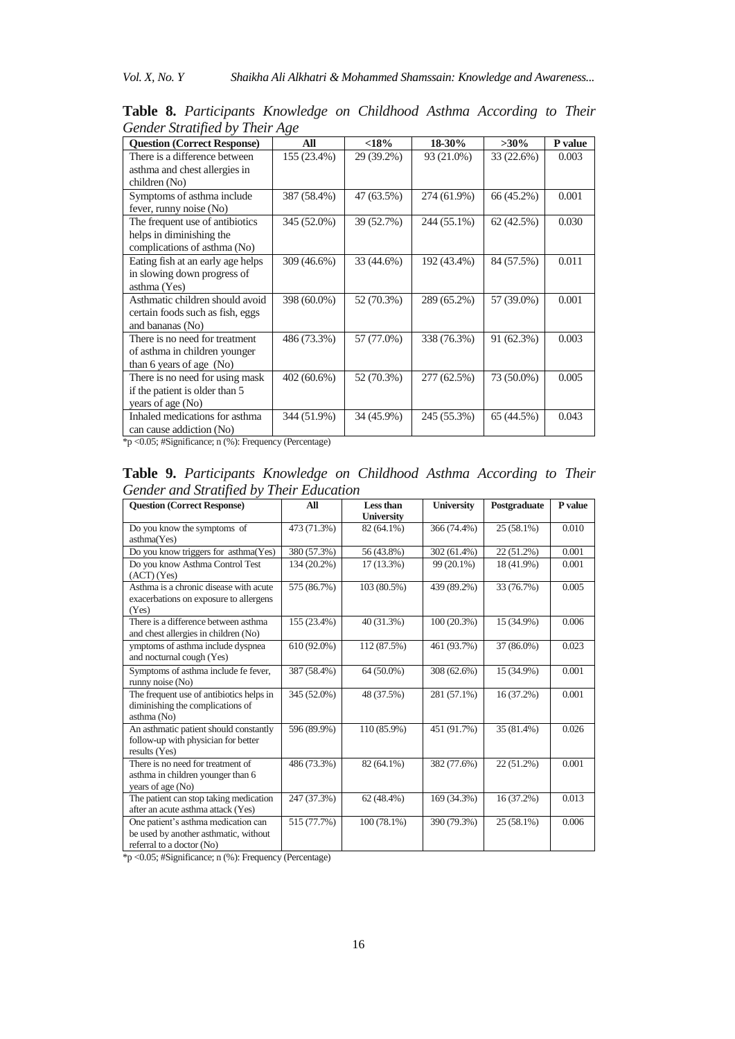*Vol. X, No. Y Shaikha Ali Alkhatri & Mohammed Shamssain: Knowledge and Awareness...* 

| <b>Question (Correct Response)</b> | All         | <18%       | 18-30%      | $>30\%$    | P value |
|------------------------------------|-------------|------------|-------------|------------|---------|
| There is a difference between      | 155 (23.4%) | 29 (39.2%) | 93 (21.0%)  | 33 (22.6%) | 0.003   |
| asthma and chest allergies in      |             |            |             |            |         |
| children (No)                      |             |            |             |            |         |
| Symptoms of asthma include         | 387 (58.4%) | 47 (63.5%) | 274 (61.9%) | 66 (45.2%) | 0.001   |
| fever, runny noise (No)            |             |            |             |            |         |
| The frequent use of antibiotics    | 345 (52.0%) | 39 (52.7%) | 244 (55.1%) | 62(42.5%)  | 0.030   |
| helps in diminishing the           |             |            |             |            |         |
| complications of asthma (No)       |             |            |             |            |         |
| Eating fish at an early age helps  | 309 (46.6%) | 33 (44.6%) | 192 (43.4%) | 84 (57.5%) | 0.011   |
| in slowing down progress of        |             |            |             |            |         |
| asthma (Yes)                       |             |            |             |            |         |
| Asthmatic children should avoid    | 398 (60.0%) | 52 (70.3%) | 289 (65.2%) | 57 (39.0%) | 0.001   |
| certain foods such as fish, eggs   |             |            |             |            |         |
| and bananas (No)                   |             |            |             |            |         |
| There is no need for treatment     | 486 (73.3%) | 57 (77.0%) | 338 (76.3%) | 91 (62.3%) | 0.003   |
| of asthma in children younger      |             |            |             |            |         |
| than 6 years of age $(No)$         |             |            |             |            |         |
| There is no need for using mask    | 402 (60.6%) | 52 (70.3%) | 277 (62.5%) | 73 (50.0%) | 0.005   |
| if the patient is older than 5     |             |            |             |            |         |
| years of age (No)                  |             |            |             |            |         |
| Inhaled medications for asthma     | 344 (51.9%) | 34 (45.9%) | 245 (55.3%) | 65 (44.5%) | 0.043   |
| can cause addiction (No)           |             |            |             |            |         |

**Table 8.** *Participants Knowledge on Childhood Asthma According to Their Gender Stratified by Their Age*

\*p <0.05; #Significance; n (%): Frequency (Percentage)

**Table 9.** *Participants Knowledge on Childhood Asthma According to Their Gender and Stratified by Their Education*

| <b>Ouestion (Correct Response)</b>                                                                        | All         | Less than         | <b>University</b> | Postgraduate | P value |
|-----------------------------------------------------------------------------------------------------------|-------------|-------------------|-------------------|--------------|---------|
|                                                                                                           |             | <b>University</b> |                   |              |         |
| Do you know the symptoms of<br>asthma(Yes)                                                                | 473 (71.3%) | 82 (64.1%)        | 366 (74.4%)       | $25(58.1\%)$ | 0.010   |
| Do you know triggers for asthma(Yes)                                                                      | 380 (57.3%) | 56 (43.8%)        | 302 (61.4%)       | $22(51.2\%)$ | 0.001   |
| Do you know Asthma Control Test<br>(ACT) (Yes)                                                            | 134 (20.2%) | 17 (13.3%)        | 99 (20.1%)        | 18 (41.9%)   | 0.001   |
| Asthma is a chronic disease with acute<br>exacerbations on exposure to allergens<br>(Yes)                 | 575 (86.7%) | 103 (80.5%)       | 439 (89.2%)       | 33 (76.7%)   | 0.005   |
| There is a difference between asthma<br>and chest allergies in children (No)                              | 155 (23.4%) | 40 (31.3%)        | $100(20.3\%)$     | 15 (34.9%)   | 0.006   |
| ymptoms of asthma include dyspnea<br>and nocturnal cough (Yes)                                            | 610 (92.0%) | 112 (87.5%)       | 461 (93.7%)       | 37 (86.0%)   | 0.023   |
| Symptoms of asthma include fe fever,<br>runny noise (No)                                                  | 387 (58.4%) | 64 (50.0%)        | 308 (62.6%)       | 15 (34.9%)   | 0.001   |
| The frequent use of antibiotics helps in<br>diminishing the complications of<br>asthma (No)               | 345 (52.0%) | 48 (37.5%)        | 281 (57.1%)       | 16 (37.2%)   | 0.001   |
| An asthmatic patient should constantly<br>follow-up with physician for better<br>results (Yes)            | 596 (89.9%) | 110 (85.9%)       | 451 (91.7%)       | 35 (81.4%)   | 0.026   |
| There is no need for treatment of<br>asthma in children younger than 6<br>years of age (No)               | 486 (73.3%) | 82 (64.1%)        | 382 (77.6%)       | 22 (51.2%)   | 0.001   |
| The patient can stop taking medication<br>after an acute asthma attack (Yes)                              | 247 (37.3%) | $62(48.4\%)$      | 169 (34.3%)       | 16 (37.2%)   | 0.013   |
| One patient's asthma medication can<br>be used by another asthmatic, without<br>referral to a doctor (No) | 515 (77.7%) | $100(78.1\%)$     | 390 (79.3%)       | $25(58.1\%)$ | 0.006   |

\*p <0.05; #Significance; n (%): Frequency (Percentage)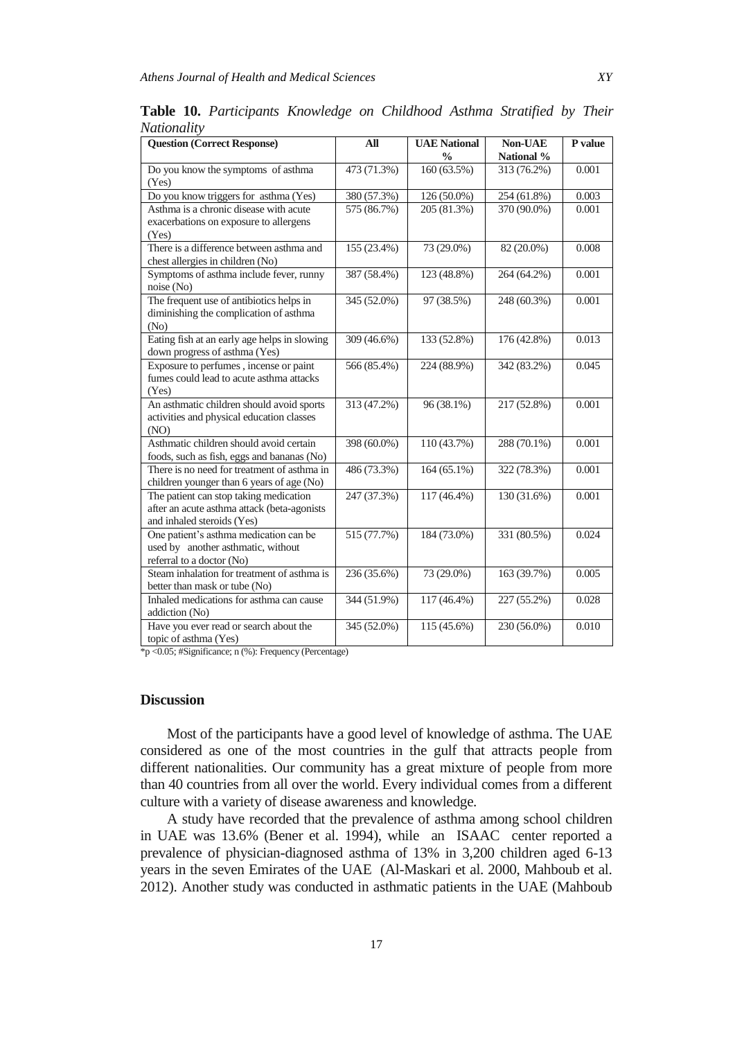| <b>Question (Correct Response)</b>                                                                                  | $\mathbf{All}$ | <b>UAE National</b>      | Non-UAE     | P value |
|---------------------------------------------------------------------------------------------------------------------|----------------|--------------------------|-------------|---------|
|                                                                                                                     |                | $\frac{0}{0}$            | National %  |         |
| Do you know the symptoms of asthma<br>(Yes)                                                                         | 473 (71.3%)    | $\overline{160}$ (63.5%) | 313 (76.2%) | 0.001   |
| Do you know triggers for asthma (Yes)                                                                               | 380 (57.3%)    | 126 (50.0%)              | 254 (61.8%) | 0.003   |
| Asthma is a chronic disease with acute<br>exacerbations on exposure to allergens<br>(Yes)                           | 575 (86.7%)    | 205 (81.3%)              | 370 (90.0%) | 0.001   |
| There is a difference between asthma and<br>chest allergies in children (No)                                        | 155 (23.4%)    | 73 (29.0%)               | 82 (20.0%)  | 0.008   |
| Symptoms of asthma include fever, runny<br>noise(No)                                                                | 387 (58.4%)    | 123 (48.8%)              | 264 (64.2%) | 0.001   |
| The frequent use of antibiotics helps in<br>diminishing the complication of asthma<br>(N <sub>0</sub> )             | 345 (52.0%)    | 97 (38.5%)               | 248 (60.3%) | 0.001   |
| Eating fish at an early age helps in slowing<br>down progress of asthma (Yes)                                       | 309 (46.6%)    | 133 (52.8%)              | 176 (42.8%) | 0.013   |
| Exposure to perfumes, incense or paint<br>fumes could lead to acute asthma attacks<br>(Yes)                         | 566 (85.4%)    | 224 (88.9%)              | 342 (83.2%) | 0.045   |
| An asthmatic children should avoid sports<br>activities and physical education classes<br>(NO)                      | 313 (47.2%)    | 96 (38.1%)               | 217 (52.8%) | 0.001   |
| Asthmatic children should avoid certain<br>foods, such as fish, eggs and bananas (No)                               | 398 (60.0%)    | 110 (43.7%)              | 288 (70.1%) | 0.001   |
| There is no need for treatment of asthma in<br>children younger than 6 years of age (No)                            | 486 (73.3%)    | 164 (65.1%)              | 322 (78.3%) | 0.001   |
| The patient can stop taking medication<br>after an acute asthma attack (beta-agonists<br>and inhaled steroids (Yes) | 247 (37.3%)    | 117 (46.4%)              | 130 (31.6%) | 0.001   |
| One patient's asthma medication can be<br>used by another asthmatic, without<br>referral to a doctor (No)           | 515 (77.7%)    | 184 (73.0%)              | 331 (80.5%) | 0.024   |
| Steam inhalation for treatment of asthma is<br>better than mask or tube (No)                                        | 236 (35.6%)    | 73 (29.0%)               | 163 (39.7%) | 0.005   |
| Inhaled medications for asthma can cause<br>addiction (No)                                                          | 344 (51.9%)    | 117 (46.4%)              | 227 (55.2%) | 0.028   |
| Have you ever read or search about the<br>topic of asthma (Yes)                                                     | 345 (52.0%)    | 115 (45.6%)              | 230 (56.0%) | 0.010   |

**Table 10.** *Participants Knowledge on Childhood Asthma Stratified by Their Nationality*

\*p <0.05; #Significance; n (%): Frequency (Percentage)

## **Discussion**

Most of the participants have a good level of knowledge of asthma. The UAE considered as one of the most countries in the gulf that attracts people from different nationalities. Our community has a great mixture of people from more than 40 countries from all over the world. Every individual comes from a different culture with a variety of disease awareness and knowledge.

A study have recorded that the prevalence of asthma among school children in UAE was 13.6% (Bener et al. 1994), while an ISAAC center reported a prevalence of physician-diagnosed asthma of 13% in 3,200 children aged 6-13 years in the seven Emirates of the UAE (Al-Maskari et al. 2000, Mahboub et al. 2012). Another study was conducted in asthmatic patients in the UAE (Mahboub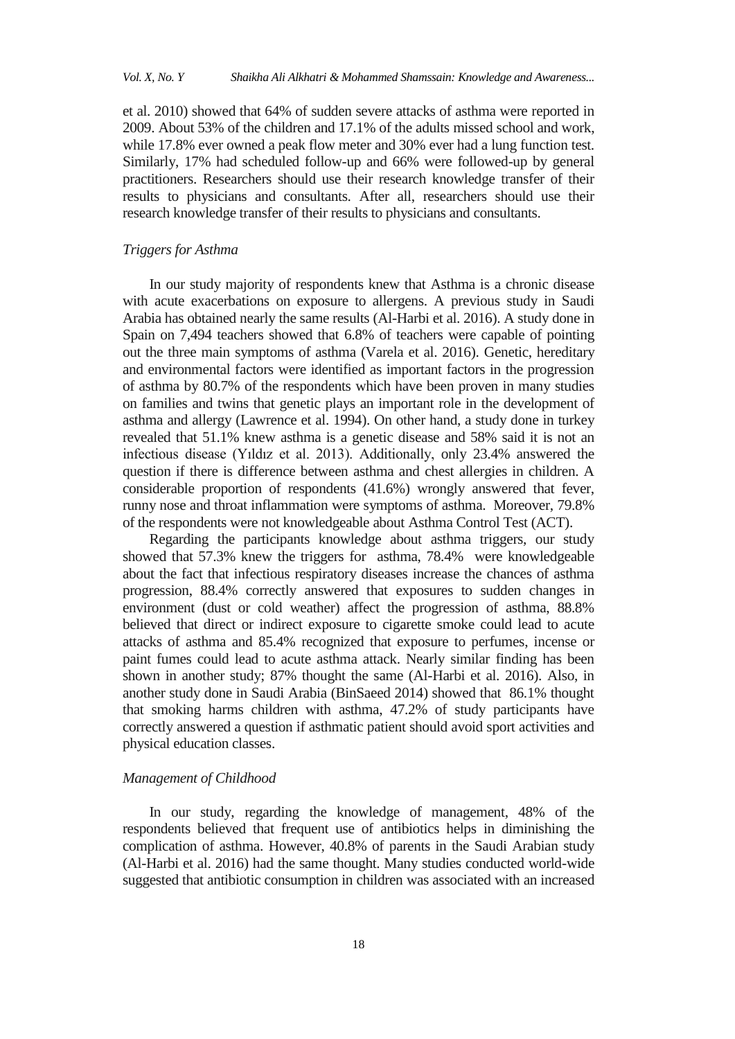et al. 2010) showed that 64% of sudden severe attacks of asthma were reported in 2009. About 53% of the children and 17.1% of the adults missed school and work, while 17.8% ever owned a peak flow meter and 30% ever had a lung function test. Similarly, 17% had scheduled follow-up and 66% were followed-up by general practitioners. Researchers should use their research knowledge transfer of their results to physicians and consultants. After all, researchers should use their research knowledge transfer of their results to physicians and consultants.

# *Triggers for Asthma*

In our study majority of respondents knew that Asthma is a chronic disease with acute exacerbations on exposure to allergens. A previous study in Saudi Arabia has obtained nearly the same results (Al-Harbi et al. 2016). A study done in Spain on 7,494 teachers showed that 6.8% of teachers were capable of pointing out the three main symptoms of asthma (Varela et al. 2016). Genetic, hereditary and environmental factors were identified as important factors in the progression of asthma by 80.7% of the respondents which have been proven in many studies on families and twins that genetic plays an important role in the development of asthma and allergy (Lawrence et al. 1994). On other hand, a study done in turkey revealed that 51.1% knew asthma is a genetic disease and 58% said it is not an infectious disease (Yıldız et al. 2013). Additionally, only 23.4% answered the question if there is difference between asthma and chest allergies in children. A considerable proportion of respondents (41.6%) wrongly answered that fever, runny nose and throat inflammation were symptoms of asthma. Moreover, 79.8% of the respondents were not knowledgeable about Asthma Control Test (ACT).

Regarding the participants knowledge about asthma triggers, our study showed that 57.3% knew the triggers for asthma, 78.4% were knowledgeable about the fact that infectious respiratory diseases increase the chances of asthma progression, 88.4% correctly answered that exposures to sudden changes in environment (dust or cold weather) affect the progression of asthma, 88.8% believed that direct or indirect exposure to cigarette smoke could lead to acute attacks of asthma and 85.4% recognized that exposure to perfumes, incense or paint fumes could lead to acute asthma attack. Nearly similar finding has been shown in another study; 87% thought the same (Al-Harbi et al. 2016). Also, in another study done in Saudi Arabia (BinSaeed 2014) showed that 86.1% thought that smoking harms children with asthma, 47.2% of study participants have correctly answered a question if asthmatic patient should avoid sport activities and physical education classes.

# *Management of Childhood*

In our study, regarding the knowledge of management, 48% of the respondents believed that frequent use of antibiotics helps in diminishing the complication of asthma. However, 40.8% of parents in the Saudi Arabian study (Al-Harbi et al. 2016) had the same thought. Many studies conducted world-wide suggested that antibiotic consumption in children was associated with an increased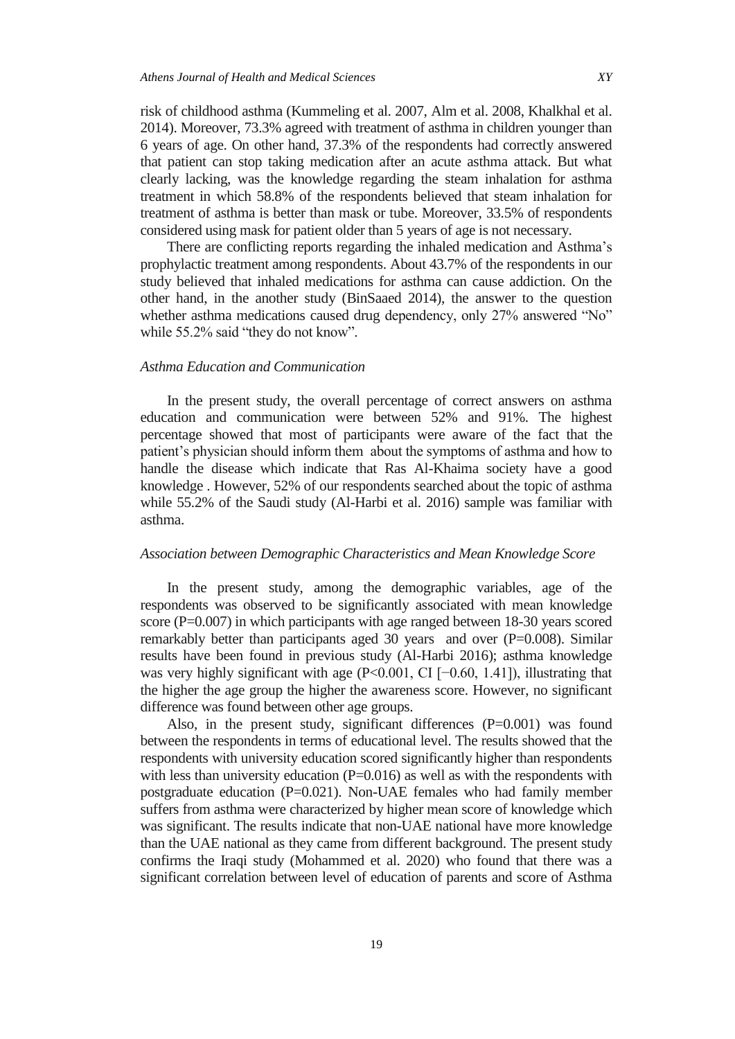risk of childhood asthma (Kummeling et al. 2007, Alm et al. 2008, Khalkhal et al. 2014). Moreover, 73.3% agreed with treatment of asthma in children younger than 6 years of age. On other hand, 37.3% of the respondents had correctly answered that patient can stop taking medication after an acute asthma attack. But what clearly lacking, was the knowledge regarding the steam inhalation for asthma treatment in which 58.8% of the respondents believed that steam inhalation for treatment of asthma is better than mask or tube. Moreover, 33.5% of respondents considered using mask for patient older than 5 years of age is not necessary.

There are conflicting reports regarding the inhaled medication and Asthma"s prophylactic treatment among respondents. About 43.7% of the respondents in our study believed that inhaled medications for asthma can cause addiction. On the other hand, in the another study (BinSaaed 2014), the answer to the question whether asthma medications caused drug dependency, only 27% answered "No" while 55.2% said "they do not know".

### *Asthma Education and Communication*

In the present study, the overall percentage of correct answers on asthma education and communication were between 52% and 91%. The highest percentage showed that most of participants were aware of the fact that the patient's physician should inform them about the symptoms of asthma and how to handle the disease which indicate that Ras Al-Khaima society have a good knowledge . However, 52% of our respondents searched about the topic of asthma while 55.2% of the Saudi study (Al-Harbi et al. 2016) sample was familiar with asthma.

# *Association between Demographic Characteristics and Mean Knowledge Score*

In the present study, among the demographic variables, age of the respondents was observed to be significantly associated with mean knowledge score (P=0.007) in which participants with age ranged between 18-30 years scored remarkably better than participants aged 30 years and over (P=0.008). Similar results have been found in previous study (Al-Harbi 2016); asthma knowledge was very highly significant with age (P<0.001, CI [−0.60, 1.41]), illustrating that the higher the age group the higher the awareness score. However, no significant difference was found between other age groups.

Also, in the present study, significant differences (P=0.001) was found between the respondents in terms of educational level. The results showed that the respondents with university education scored significantly higher than respondents with less than university education  $(P=0.016)$  as well as with the respondents with postgraduate education  $(P=0.021)$ . Non-UAE females who had family member suffers from asthma were characterized by higher mean score of knowledge which was significant. The results indicate that non-UAE national have more knowledge than the UAE national as they came from different background. The present study confirms the Iraqi study (Mohammed et al. 2020) who found that there was a significant correlation between level of education of parents and score of Asthma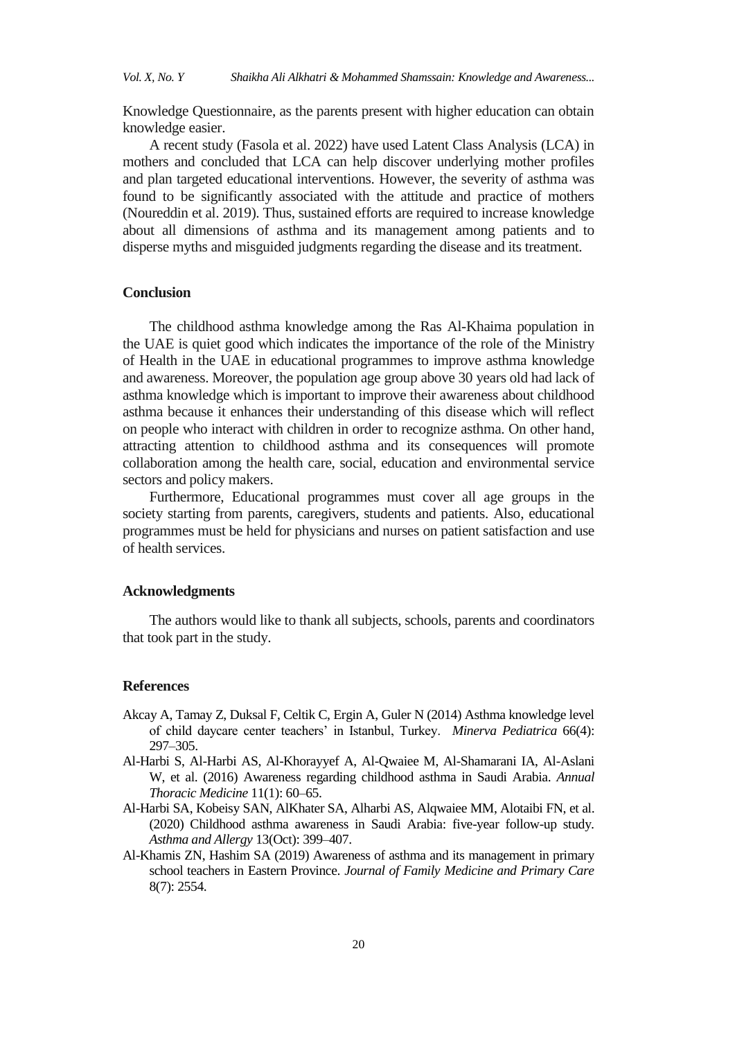Knowledge Questionnaire, as the parents present with higher education can obtain knowledge easier.

A recent study (Fasola et al. 2022) have used Latent Class Analysis (LCA) in mothers and concluded that LCA can help discover underlying mother profiles and plan targeted educational interventions. However, the severity of asthma was found to be significantly associated with the attitude and practice of mothers (Noureddin et al. 2019). Thus, sustained efforts are required to increase knowledge about all dimensions of asthma and its management among patients and to disperse myths and misguided judgments regarding the disease and its treatment.

## **Conclusion**

The childhood asthma knowledge among the Ras Al-Khaima population in the UAE is quiet good which indicates the importance of the role of the Ministry of Health in the UAE in educational programmes to improve asthma knowledge and awareness. Moreover, the population age group above 30 years old had lack of asthma knowledge which is important to improve their awareness about childhood asthma because it enhances their understanding of this disease which will reflect on people who interact with children in order to recognize asthma. On other hand, attracting attention to childhood asthma and its consequences will promote collaboration among the health care, social, education and environmental service sectors and policy makers.

Furthermore, Educational programmes must cover all age groups in the society starting from parents, caregivers, students and patients. Also, educational programmes must be held for physicians and nurses on patient satisfaction and use of health services.

#### **Acknowledgments**

The authors would like to thank all subjects, schools, parents and coordinators that took part in the study.

## **References**

- Akcay A, Tamay Z, Duksal F, Celtik C, Ergin A, Guler N (2014) Asthma knowledge level of child daycare center teachers' in Istanbul, Turkey. *Minerva Pediatrica* 66(4): 297–305.
- Al-Harbi S, Al-Harbi AS, Al-Khorayyef A, Al-Qwaiee M, Al-Shamarani IA, Al-Aslani W, et al. (2016) Awareness regarding childhood asthma in Saudi Arabia. *Annual Thoracic Medicine* 11(1): 60–65.
- Al-Harbi SA, Kobeisy SAN, AlKhater SA, Alharbi AS, Alqwaiee MM, Alotaibi FN, et al. (2020) Childhood asthma awareness in Saudi Arabia: five-year follow-up study*. Asthma and Allergy* 13(Oct): 399–407.
- Al-Khamis ZN, Hashim SA (2019) Awareness of asthma and its management in primary school teachers in Eastern Province. *Journal of Family Medicine and Primary Care* 8(7): 2554.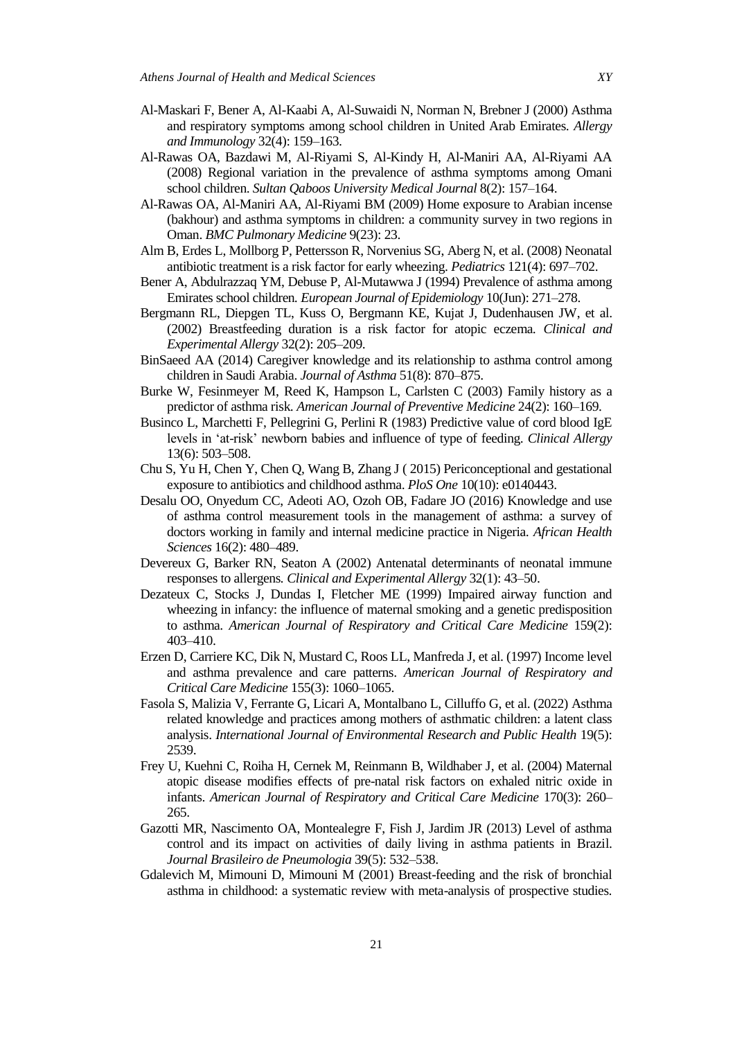- Al-Maskari F, Bener A, Al-Kaabi A, Al-Suwaidi N, Norman N, Brebner J (2000) Asthma and respiratory symptoms among school children in United Arab Emirates*. Allergy and Immunology* 32(4): 159–163.
- Al-Rawas OA, Bazdawi M, Al-Riyami S, Al-Kindy H, Al-Maniri AA, Al-Riyami AA (2008) Regional variation in the prevalence of asthma symptoms among Omani school children. *Sultan Qaboos University Medical Journal* 8(2): 157–164.
- Al-Rawas OA, Al-Maniri AA, Al-Riyami BM (2009) Home exposure to Arabian incense (bakhour) and asthma symptoms in children: a community survey in two regions in Oman. *BMC Pulmonary Medicine* 9(23): 23.
- Alm B, Erdes L, Mollborg P, Pettersson R, Norvenius SG, Aberg N, et al. (2008) Neonatal antibiotic treatment is a risk factor for early wheezing. *Pediatrics* 121(4): 697–702.
- Bener A, Abdulrazzaq YM, Debuse P, Al-Mutawwa J (1994) Prevalence of asthma among Emirates school children*. European Journal of Epidemiology* 10(Jun): 271–278.
- Bergmann RL, Diepgen TL, Kuss O, Bergmann KE, Kujat J, Dudenhausen JW, et al. (2002) Breastfeeding duration is a risk factor for atopic eczema*. Clinical and Experimental Allergy* 32(2): 205–209.
- BinSaeed AA (2014) Caregiver knowledge and its relationship to asthma control among children in Saudi Arabia. *Journal of Asthma* 51(8): 870–875.
- Burke W, Fesinmeyer M, Reed K, Hampson L, Carlsten C (2003) Family history as a predictor of asthma risk. *American Journal of Preventive Medicine* 24(2): 160–169.
- Businco L, Marchetti F, Pellegrini G, Perlini R (1983) Predictive value of cord blood IgE levels in 'at-risk' newborn babies and influence of type of feeding. *Clinical Allergy* 13(6): 503–508.
- Chu S, Yu H, Chen Y, Chen Q, Wang B, Zhang J ( 2015) Periconceptional and gestational exposure to antibiotics and childhood asthma. *PloS One* 10(10): e0140443.
- Desalu OO, Onyedum CC, Adeoti AO, Ozoh OB, Fadare JO (2016) Knowledge and use of asthma control measurement tools in the management of asthma: a survey of doctors working in family and internal medicine practice in Nigeria*. African Health Sciences* 16(2): 480–489.
- Devereux G, Barker RN, Seaton A (2002) Antenatal determinants of neonatal immune responses to allergens*. Clinical and Experimental Allergy* 32(1): 43–50.
- Dezateux C, Stocks J, Dundas I, Fletcher ME (1999) Impaired airway function and wheezing in infancy: the influence of maternal smoking and a genetic predisposition to asthma. *American Journal of Respiratory and Critical Care Medicine* 159(2): 403–410.
- Erzen D, Carriere KC, Dik N, Mustard C, Roos LL, Manfreda J, et al. (1997) Income level and asthma prevalence and care patterns. *American Journal of Respiratory and Critical Care Medicine* 155(3): 1060–1065.
- Fasola S, Malizia V, Ferrante G, Licari A, Montalbano L, Cilluffo G, et al. (2022) Asthma related knowledge and practices among mothers of asthmatic children: a latent class analysis. *International Journal of Environmental Research and Public Health* 19(5): 2539.
- Frey U, Kuehni C, Roiha H, Cernek M, Reinmann B, Wildhaber J, et al. (2004) Maternal atopic disease modifies effects of pre-natal risk factors on exhaled nitric oxide in infants. *American Journal of Respiratory and Critical Care Medicine* 170(3): 260– 265.
- Gazotti MR, Nascimento OA, Montealegre F, Fish J, Jardim JR (2013) Level of asthma control and its impact on activities of daily living in asthma patients in Brazil. *Journal Brasileiro de Pneumologia* 39(5): 532–538.
- Gdalevich M, Mimouni D, Mimouni M (2001) Breast-feeding and the risk of bronchial asthma in childhood: a systematic review with meta-analysis of prospective studies*.*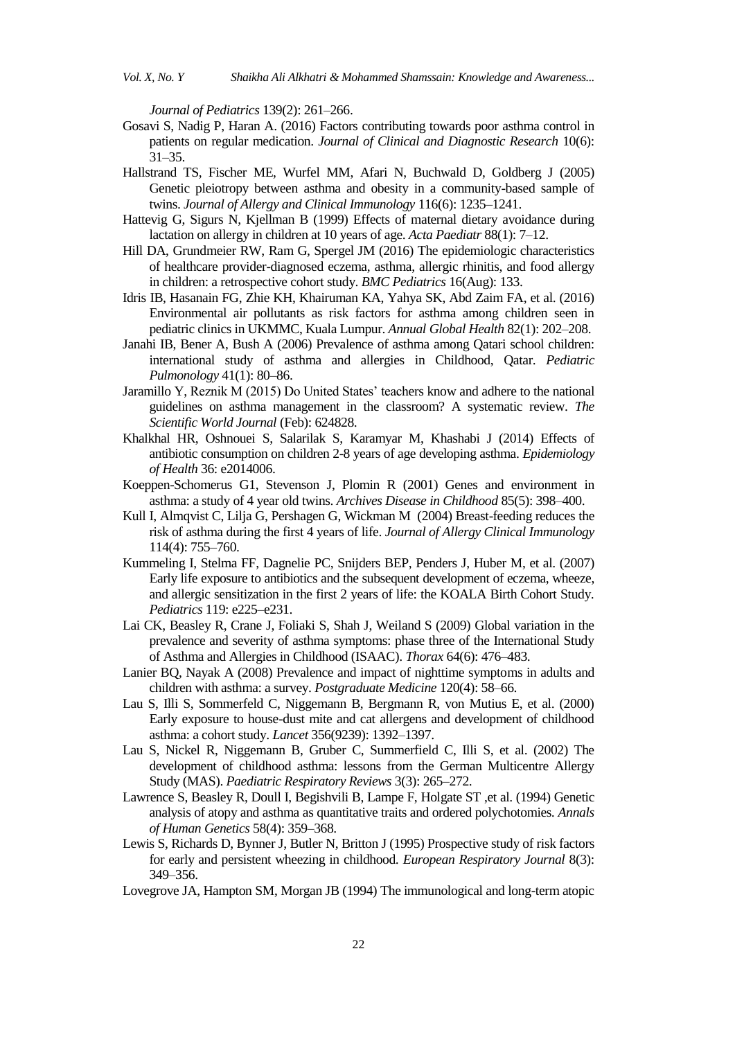*Journal of Pediatrics* 139(2): 261–266.

- Gosavi S, Nadig P, Haran A. (2016) Factors contributing towards poor asthma control in patients on regular medication. *Journal of Clinical and Diagnostic Research* 10(6): 31–35.
- Hallstrand TS, Fischer ME, Wurfel MM, Afari N, Buchwald D, Goldberg J (2005) Genetic pleiotropy between asthma and obesity in a community-based sample of twins. *Journal of Allergy and Clinical Immunology* 116(6): 1235–1241.
- Hattevig G, Sigurs N, Kjellman B (1999) Effects of maternal dietary avoidance during lactation on allergy in children at 10 years of age. *Acta Paediatr* 88(1): 7–12.
- Hill DA, Grundmeier RW, Ram G, Spergel JM (2016) The epidemiologic characteristics of healthcare provider-diagnosed eczema, asthma, allergic rhinitis, and food allergy in children: a retrospective cohort study. *BMC Pediatrics* 16(Aug): 133.
- Idris IB, Hasanain FG, Zhie KH, Khairuman KA, Yahya SK, Abd Zaim FA, et al. (2016) Environmental air pollutants as risk factors for asthma among children seen in pediatric clinics in UKMMC, Kuala Lumpur. *Annual Global Health* 82(1): 202–208.
- Janahi IB, Bener A, Bush A (2006) Prevalence of asthma among Qatari school children: international study of asthma and allergies in Childhood, Qatar. *Pediatric Pulmonology* 41(1): 80–86.
- Jaramillo Y, Reznik M (2015) Do United States" teachers know and adhere to the national guidelines on asthma management in the classroom? A systematic review. *The Scientific World Journal* (Feb): 624828.
- Khalkhal HR, Oshnouei S, Salarilak S, Karamyar M, Khashabi J (2014) Effects of antibiotic consumption on children 2-8 years of age developing asthma. *Epidemiology of Health* 36: e2014006.
- Koeppen-Schomerus G1, Stevenson J, Plomin R (2001) Genes and environment in asthma: a study of 4 year old twins. *Archives Disease in Childhood* 85(5): 398–400.
- Kull I, Almqvist C, Lilja G, Pershagen G, Wickman M (2004) Breast-feeding reduces the risk of asthma during the first 4 years of life. *Journal of Allergy Clinical Immunology* 114(4): 755–760.
- Kummeling I, Stelma FF, Dagnelie PC, Snijders BEP, Penders J, Huber M, et al. (2007) Early life exposure to antibiotics and the subsequent development of eczema, wheeze, and allergic sensitization in the first 2 years of life: the KOALA Birth Cohort Study*. Pediatrics* 119: e225–e231.
- Lai CK, Beasley R, Crane J, Foliaki S, Shah J, Weiland S (2009) Global variation in the prevalence and severity of asthma symptoms: phase three of the International Study of Asthma and Allergies in Childhood (ISAAC). *Thorax* 64(6): 476–483.
- Lanier BQ, Nayak A (2008) Prevalence and impact of nighttime symptoms in adults and children with asthma: a survey. *Postgraduate Medicine* 120(4): 58–66.
- Lau S, Illi S, Sommerfeld C, Niggemann B, Bergmann R, von Mutius E, et al. (2000) Early exposure to house-dust mite and cat allergens and development of childhood asthma: a cohort study. *Lancet* 356(9239): 1392–1397.
- Lau S, Nickel R, Niggemann B, Gruber C, Summerfield C, Illi S, et al. (2002) The development of childhood asthma: lessons from the German Multicentre Allergy Study (MAS). *Paediatric Respiratory Reviews* 3(3): 265–272.
- Lawrence S, Beasley R, Doull I, Begishvili B, Lampe F, Holgate ST ,et al. (1994) Genetic analysis of atopy and asthma as quantitative traits and ordered polychotomies*. Annals of Human Genetics* 58(4): 359–368.
- Lewis S, Richards D, Bynner J, Butler N, Britton J (1995) Prospective study of risk factors for early and persistent wheezing in childhood*. European Respiratory Journal* 8(3): 349–356.
- Lovegrove JA, Hampton SM, Morgan JB (1994) The immunological and long-term atopic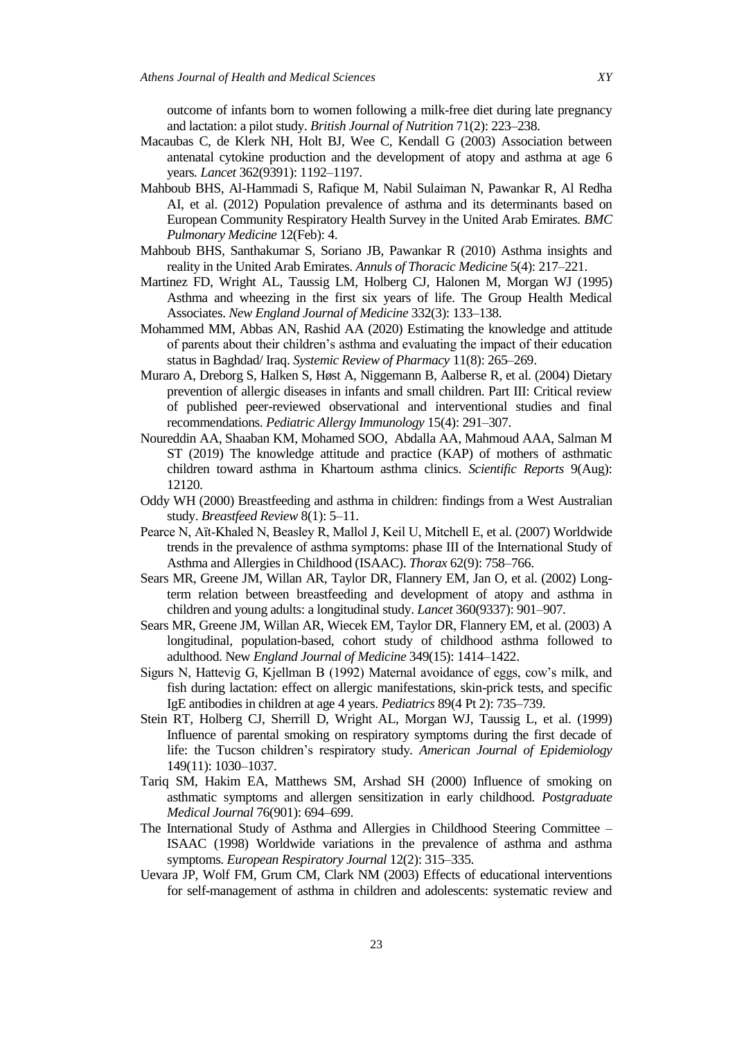outcome of infants born to women following a milk-free diet during late pregnancy and lactation: a pilot study. *British Journal of Nutrition* 71(2): 223–238.

- Macaubas C, de Klerk NH, Holt BJ, Wee C, Kendall G (2003) Association between antenatal cytokine production and the development of atopy and asthma at age 6 years*. Lancet* 362(9391): 1192–1197.
- Mahboub BHS, Al-Hammadi S, Rafique M, Nabil Sulaiman N, Pawankar R, Al Redha AI, et al. (2012) Population prevalence of asthma and its determinants based on European Community Respiratory Health Survey in the United Arab Emirates*. BMC Pulmonary Medicine* 12(Feb): 4.
- Mahboub BHS, Santhakumar S, Soriano JB, Pawankar R (2010) Asthma insights and reality in the United Arab Emirates. *Annuls of Thoracic Medicine* 5(4): 217–221.
- Martinez FD, Wright AL, Taussig LM, Holberg CJ, Halonen M, Morgan WJ (1995) Asthma and wheezing in the first six years of life. The Group Health Medical Associates. *New England Journal of Medicine* 332(3): 133–138.
- Mohammed MM, Abbas AN, Rashid AA (2020) Estimating the knowledge and attitude of parents about their children's asthma and evaluating the impact of their education status in Baghdad/ Iraq. *Systemic Review of Pharmacy* 11(8): 265–269.
- Muraro A, Dreborg S, Halken S, Høst A, Niggemann B, Aalberse R, et al. (2004) Dietary prevention of allergic diseases in infants and small children. Part III: Critical review of published peer-reviewed observational and interventional studies and final recommendations. *Pediatric Allergy Immunology* 15(4): 291–307.
- Noureddin AA, Shaaban KM, Mohamed SOO, Abdalla AA, Mahmoud AAA, Salman M ST (2019) The knowledge attitude and practice (KAP) of mothers of asthmatic children toward asthma in Khartoum asthma clinics. *Scientific Reports* 9(Aug): 12120.
- Oddy WH (2000) Breastfeeding and asthma in children: findings from a West Australian study. *Breastfeed Review* 8(1): 5–11.
- Pearce N, Aït‐Khaled N, Beasley R, Mallol J, Keil U, Mitchell E, et al. (2007) Worldwide trends in the prevalence of asthma symptoms: phase III of the International Study of Asthma and Allergies in Childhood (ISAAC). *Thorax* 62(9): 758–766.
- Sears MR, Greene JM, Willan AR, Taylor DR, Flannery EM, Jan O, et al. (2002) Longterm relation between breastfeeding and development of atopy and asthma in children and young adults: a longitudinal study. *Lancet* 360(9337): 901–907.
- Sears MR, Greene JM, Willan AR, Wiecek EM, Taylor DR, Flannery EM, et al. (2003) A longitudinal, population-based, cohort study of childhood asthma followed to adulthood. New *England Journal of Medicine* 349(15): 1414–1422.
- Sigurs N, Hattevig G, Kjellman B (1992) Maternal avoidance of eggs, cow"s milk, and fish during lactation: effect on allergic manifestations, skin-prick tests, and specific IgE antibodies in children at age 4 years. *Pediatrics* 89(4 Pt 2): 735–739.
- Stein RT, Holberg CJ, Sherrill D, Wright AL, Morgan WJ, Taussig L, et al. (1999) Influence of parental smoking on respiratory symptoms during the first decade of life: the Tucson children"s respiratory study*. American Journal of Epidemiology* 149(11): 1030–1037.
- Tariq SM, Hakim EA, Matthews SM, Arshad SH (2000) Influence of smoking on asthmatic symptoms and allergen sensitization in early childhood*. Postgraduate Medical Journal* 76(901): 694–699.
- The International Study of Asthma and Allergies in Childhood Steering Committee ISAAC (1998) Worldwide variations in the prevalence of asthma and asthma symptoms*. European Respiratory Journal* 12(2): 315–335.
- Uevara JP, Wolf FM, Grum CM, Clark NM (2003) Effects of educational interventions for self-management of asthma in children and adolescents: systematic review and